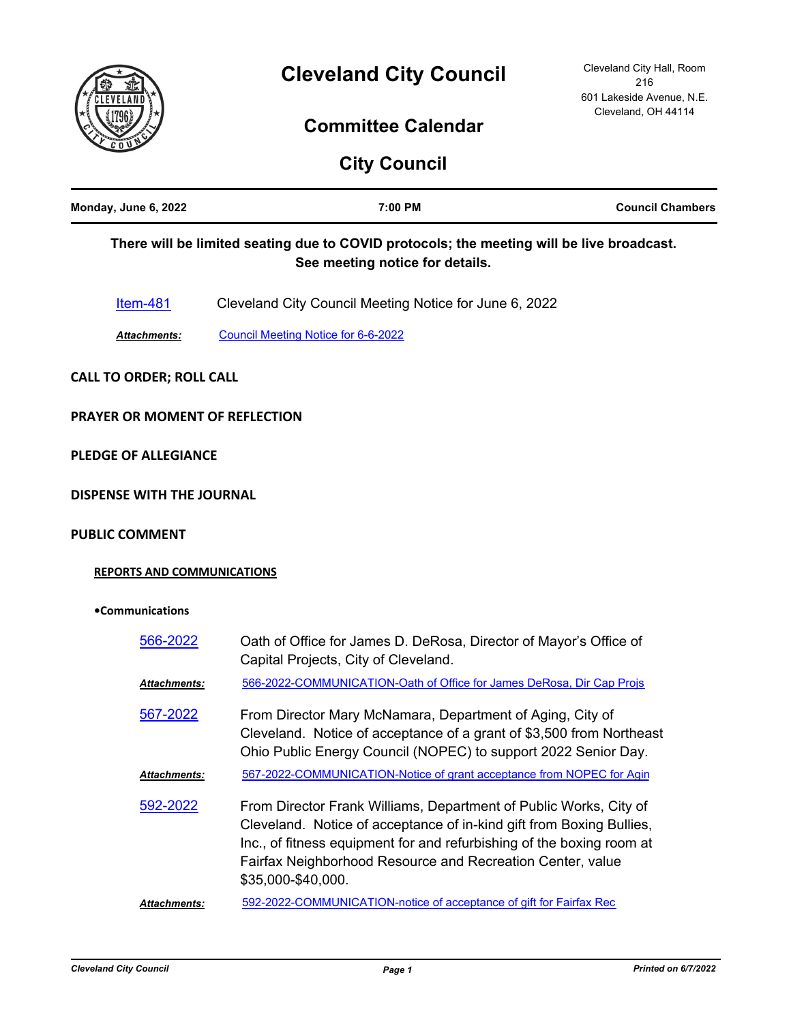

# **Committee Calendar**

|                                   | <b>City Council</b>                                                                                                                                                                                 |                         |
|-----------------------------------|-----------------------------------------------------------------------------------------------------------------------------------------------------------------------------------------------------|-------------------------|
| Monday, June 6, 2022              | 7:00 PM                                                                                                                                                                                             | <b>Council Chambers</b> |
|                                   | There will be limited seating due to COVID protocols; the meeting will be live broadcast.<br>See meeting notice for details.                                                                        |                         |
| <u>Item-481</u>                   | Cleveland City Council Meeting Notice for June 6, 2022                                                                                                                                              |                         |
| Attachments:                      | <b>Council Meeting Notice for 6-6-2022</b>                                                                                                                                                          |                         |
| <b>CALL TO ORDER; ROLL CALL</b>   |                                                                                                                                                                                                     |                         |
| PRAYER OR MOMENT OF REFLECTION    |                                                                                                                                                                                                     |                         |
| <b>PLEDGE OF ALLEGIANCE</b>       |                                                                                                                                                                                                     |                         |
| <b>DISPENSE WITH THE JOURNAL</b>  |                                                                                                                                                                                                     |                         |
| <b>PUBLIC COMMENT</b>             |                                                                                                                                                                                                     |                         |
| <b>REPORTS AND COMMUNICATIONS</b> |                                                                                                                                                                                                     |                         |
| •Communications                   |                                                                                                                                                                                                     |                         |
| 566-2022                          | Oath of Office for James D. DeRosa, Director of Mayor's Office of<br>Capital Projects, City of Cleveland.                                                                                           |                         |
| <u> Attachments:</u>              | 566-2022-COMMUNICATION-Oath of Office for James DeRosa, Dir Cap Projs                                                                                                                               |                         |
| 567-2022                          | From Director Mary McNamara, Department of Aging, City of<br>Cleveland. Notice of acceptance of a grant of \$3,500 from Northeast<br>Ohio Public Energy Council (NOPEC) to support 2022 Senior Day. |                         |
| <u> Attachments:</u>              | 567-2022-COMMUNICATION-Notice of grant acceptance from NOPEC for Agin                                                                                                                               |                         |
| 592.2022                          | <u>Erom Director Erank Williams Denartment of Public Works. City of </u>                                                                                                                            |                         |

From Director Frank Williams, Department of Public Works, City of Cleveland. Notice of acceptance of in-kind gift from Boxing Bullies, Inc., of fitness equipment for and refurbishing of the boxing room at Fairfax Neighborhood Resource and Recreation Center, value \$35,000-\$40,000. [592-2022](http://cityofcleveland.legistar.com/gateway.aspx?m=l&id=/matter.aspx?key=30493)

*Attachments:* [592-2022-COMMUNICATION-notice of acceptance of gift for Fairfax Rec](http://cityofcleveland.legistar.com/gateway.aspx?M=F&ID=1899aab9-8e57-45c0-8c46-ca5d9fa5f7ee.pdf)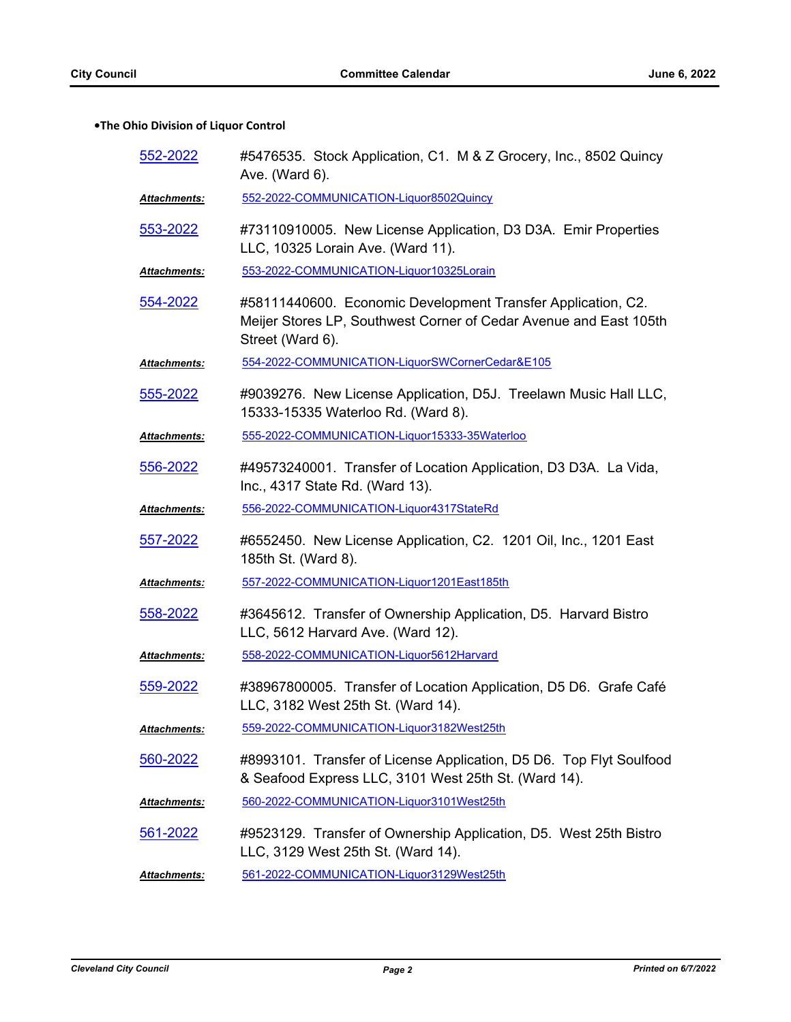# **•The Ohio Division of Liquor Control**

| 552-2022             | #5476535. Stock Application, C1. M & Z Grocery, Inc., 8502 Quincy<br>Ave. (Ward 6).                                                                   |
|----------------------|-------------------------------------------------------------------------------------------------------------------------------------------------------|
| <u> Attachments:</u> | 552-2022-COMMUNICATION-Liquor8502Quincy                                                                                                               |
| 553-2022             | #73110910005. New License Application, D3 D3A. Emir Properties<br>LLC, 10325 Lorain Ave. (Ward 11).                                                   |
| <b>Attachments:</b>  | 553-2022-COMMUNICATION-Liquor10325Lorain                                                                                                              |
| 554-2022             | #58111440600. Economic Development Transfer Application, C2.<br>Meijer Stores LP, Southwest Corner of Cedar Avenue and East 105th<br>Street (Ward 6). |
| <b>Attachments:</b>  | 554-2022-COMMUNICATION-LiquorSWCornerCedar&E105                                                                                                       |
| 555-2022             | #9039276. New License Application, D5J. Treelawn Music Hall LLC,<br>15333-15335 Waterloo Rd. (Ward 8).                                                |
| Attachments:         | 555-2022-COMMUNICATION-Liquor15333-35Waterloo                                                                                                         |
| 556-2022             | #49573240001. Transfer of Location Application, D3 D3A. La Vida,<br>Inc., 4317 State Rd. (Ward 13).                                                   |
| <b>Attachments:</b>  | 556-2022-COMMUNICATION-Liquor4317StateRd                                                                                                              |
| 557-2022             | #6552450. New License Application, C2. 1201 Oil, Inc., 1201 East<br>185th St. (Ward 8).                                                               |
| Attachments:         | 557-2022-COMMUNICATION-Liquor1201East185th                                                                                                            |
| 558-2022             | #3645612. Transfer of Ownership Application, D5. Harvard Bistro<br>LLC, 5612 Harvard Ave. (Ward 12).                                                  |
| Attachments:         | 558-2022-COMMUNICATION-Liquor5612Harvard                                                                                                              |
| 559-2022             | #38967800005. Transfer of Location Application, D5 D6. Grafe Café<br>LLC, 3182 West 25th St. (Ward 14).                                               |
| <b>Attachments:</b>  | 559-2022-COMMUNICATION-Liquor3182West25th                                                                                                             |
| 560-2022             | #8993101. Transfer of License Application, D5 D6. Top Flyt Soulfood<br>& Seafood Express LLC, 3101 West 25th St. (Ward 14).                           |
| <u> Attachments:</u> | 560-2022-COMMUNICATION-Liquor3101West25th                                                                                                             |
| 561-2022             | #9523129. Transfer of Ownership Application, D5. West 25th Bistro<br>LLC, 3129 West 25th St. (Ward 14).                                               |
| <b>Attachments:</b>  | 561-2022-COMMUNICATION-Liquor3129West25th                                                                                                             |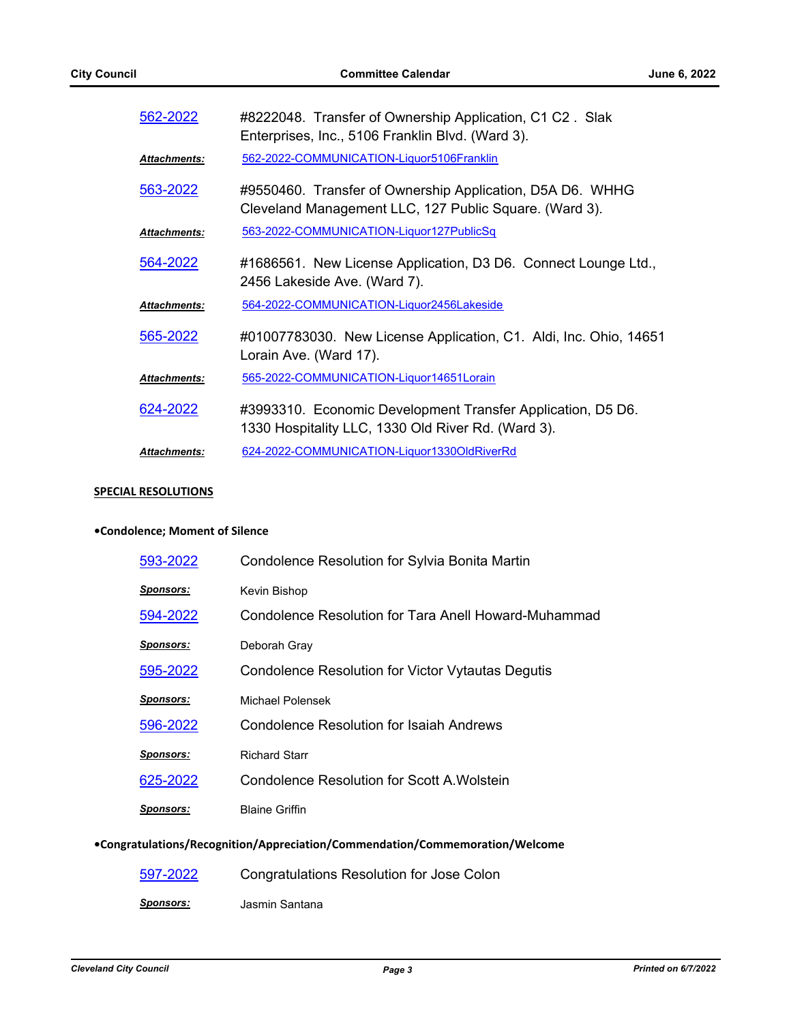| 562-2022            | #8222048. Transfer of Ownership Application, C1 C2. Slak<br>Enterprises, Inc., 5106 Franklin Blvd. (Ward 3).        |
|---------------------|---------------------------------------------------------------------------------------------------------------------|
| <b>Attachments:</b> | 562-2022-COMMUNICATION-Liquor5106Franklin                                                                           |
| 563-2022            | #9550460. Transfer of Ownership Application, D5A D6. WHHG<br>Cleveland Management LLC, 127 Public Square. (Ward 3). |
| Attachments:        | 563-2022-COMMUNICATION-Liquor127PublicSq                                                                            |
| 564-2022            | #1686561. New License Application, D3 D6. Connect Lounge Ltd.,<br>2456 Lakeside Ave. (Ward 7).                      |
| <b>Attachments:</b> | 564-2022-COMMUNICATION-Liquor2456Lakeside                                                                           |
| 565-2022            | #01007783030. New License Application, C1. Aldi, Inc. Ohio, 14651<br>Lorain Ave. (Ward 17).                         |
| <b>Attachments:</b> | 565-2022-COMMUNICATION-Liquor14651Lorain                                                                            |
| 624-2022            | #3993310. Economic Development Transfer Application, D5 D6.<br>1330 Hospitality LLC, 1330 Old River Rd. (Ward 3).   |
| <b>Attachments:</b> | 624-2022-COMMUNICATION-Liquor1330OldRiverRd                                                                         |

#### **SPECIAL RESOLUTIONS**

# **•Condolence; Moment of Silence**

| Condolence Resolution for Sylvia Bonita Martin                               |
|------------------------------------------------------------------------------|
| Kevin Bishop                                                                 |
| Condolence Resolution for Tara Anell Howard-Muhammad                         |
| Deborah Gray                                                                 |
| Condolence Resolution for Victor Vytautas Degutis                            |
| Michael Polensek                                                             |
| <b>Condolence Resolution for Isaiah Andrews</b>                              |
| <b>Richard Starr</b>                                                         |
| Condolence Resolution for Scott A Wolstein                                   |
| <b>Blaine Griffin</b>                                                        |
| •Congratulations/Recognition/Appreciation/Commendation/Commemoration/Welcome |
|                                                                              |

| 597-2022         | Congratulations Resolution for Jose Colon |
|------------------|-------------------------------------------|
| <u>Sponsors:</u> | Jasmin Santana                            |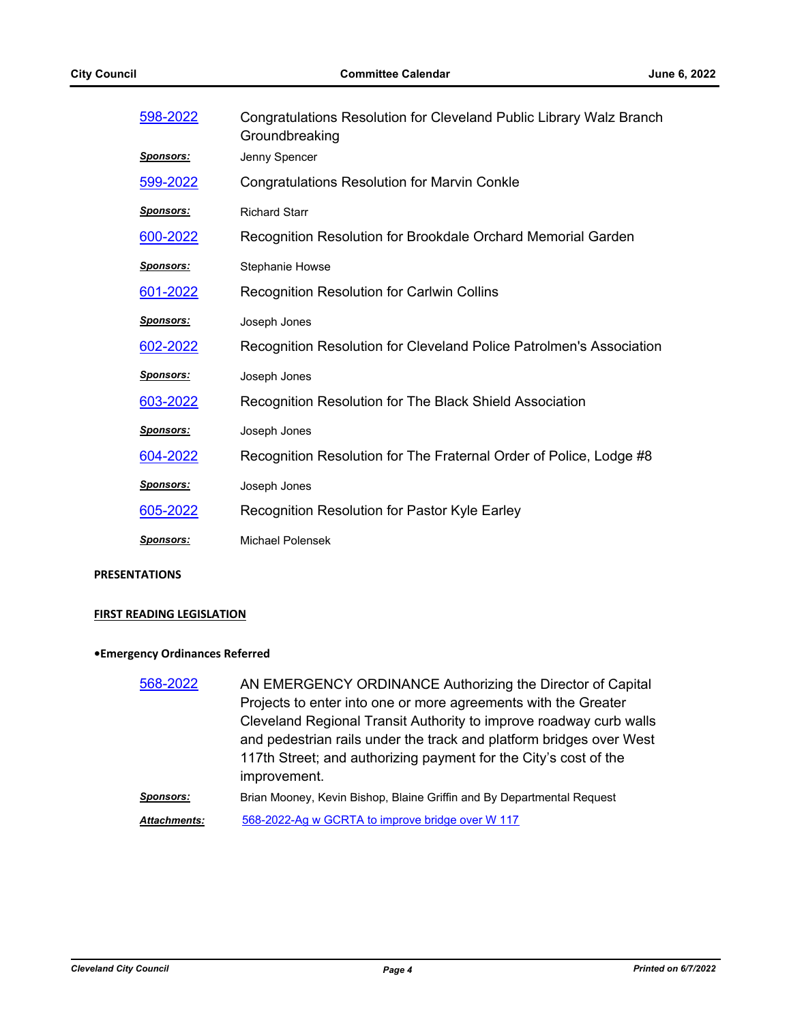| 598-2022         | Congratulations Resolution for Cleveland Public Library Walz Branch<br>Groundbreaking |
|------------------|---------------------------------------------------------------------------------------|
| <b>Sponsors:</b> | Jenny Spencer                                                                         |
| 599-2022         | <b>Congratulations Resolution for Marvin Conkle</b>                                   |
| <b>Sponsors:</b> | <b>Richard Starr</b>                                                                  |
| 600-2022         | Recognition Resolution for Brookdale Orchard Memorial Garden                          |
| <u>Sponsors:</u> | <b>Stephanie Howse</b>                                                                |
| 601-2022         | <b>Recognition Resolution for Carlwin Collins</b>                                     |
| <b>Sponsors:</b> | Joseph Jones                                                                          |
| 602-2022         | Recognition Resolution for Cleveland Police Patrolmen's Association                   |
| <b>Sponsors:</b> | Joseph Jones                                                                          |
| 603-2022         | Recognition Resolution for The Black Shield Association                               |
| <b>Sponsors:</b> | Joseph Jones                                                                          |
| 604-2022         | Recognition Resolution for The Fraternal Order of Police, Lodge #8                    |
| <u>Sponsors:</u> | Joseph Jones                                                                          |
| 605-2022         | Recognition Resolution for Pastor Kyle Earley                                         |
| <b>Sponsors:</b> | Michael Polensek                                                                      |

#### **PRESENTATIONS**

#### **FIRST READING LEGISLATION**

# **•Emergency Ordinances Referred**

| 568-2022            | AN EMERGENCY ORDINANCE Authorizing the Director of Capital             |
|---------------------|------------------------------------------------------------------------|
|                     | Projects to enter into one or more agreements with the Greater         |
|                     | Cleveland Regional Transit Authority to improve roadway curb walls     |
|                     | and pedestrian rails under the track and platform bridges over West    |
|                     | 117th Street; and authorizing payment for the City's cost of the       |
|                     | improvement.                                                           |
| Sponsors:           | Brian Mooney, Kevin Bishop, Blaine Griffin and By Departmental Request |
| <b>Attachments:</b> | 568-2022-Ag w GCRTA to improve bridge over W 117                       |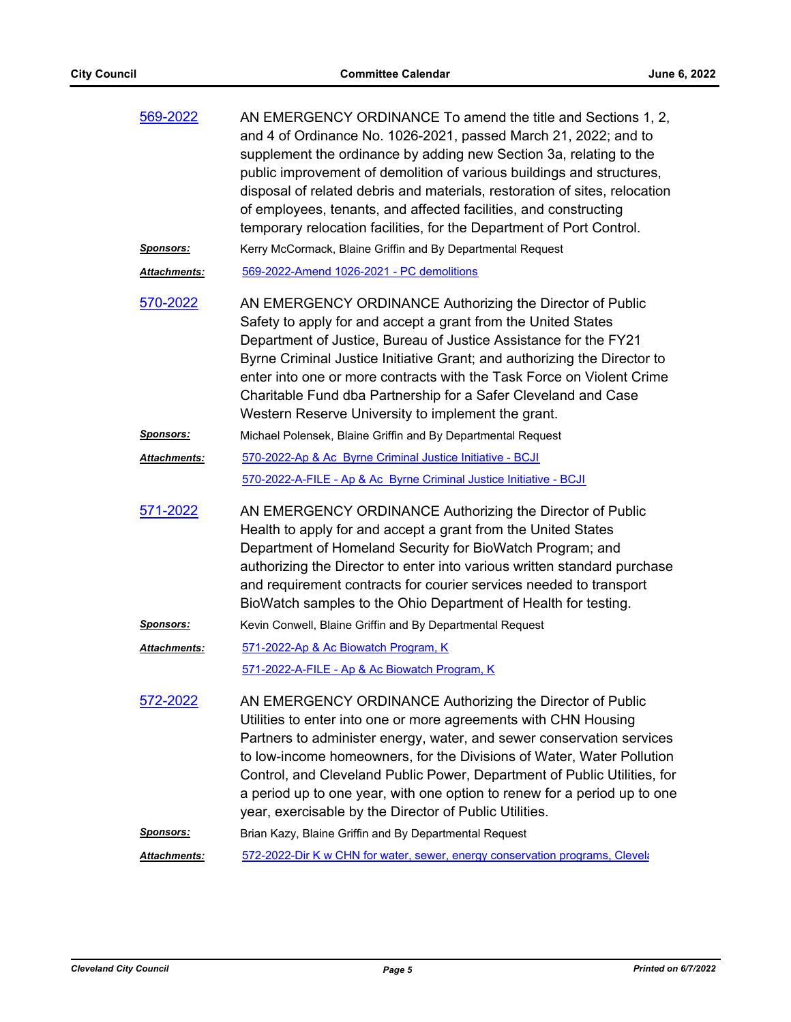| 569-2022            | AN EMERGENCY ORDINANCE To amend the title and Sections 1, 2,<br>and 4 of Ordinance No. 1026-2021, passed March 21, 2022; and to<br>supplement the ordinance by adding new Section 3a, relating to the<br>public improvement of demolition of various buildings and structures,<br>disposal of related debris and materials, restoration of sites, relocation<br>of employees, tenants, and affected facilities, and constructing<br>temporary relocation facilities, for the Department of Port Control. |
|---------------------|----------------------------------------------------------------------------------------------------------------------------------------------------------------------------------------------------------------------------------------------------------------------------------------------------------------------------------------------------------------------------------------------------------------------------------------------------------------------------------------------------------|
| <u>Sponsors:</u>    | Kerry McCormack, Blaine Griffin and By Departmental Request                                                                                                                                                                                                                                                                                                                                                                                                                                              |
| <b>Attachments:</b> | 569-2022-Amend 1026-2021 - PC demolitions                                                                                                                                                                                                                                                                                                                                                                                                                                                                |
| 570-2022            | AN EMERGENCY ORDINANCE Authorizing the Director of Public<br>Safety to apply for and accept a grant from the United States<br>Department of Justice, Bureau of Justice Assistance for the FY21<br>Byrne Criminal Justice Initiative Grant; and authorizing the Director to<br>enter into one or more contracts with the Task Force on Violent Crime<br>Charitable Fund dba Partnership for a Safer Cleveland and Case<br>Western Reserve University to implement the grant.                              |
| <u>Sponsors:</u>    | Michael Polensek, Blaine Griffin and By Departmental Request                                                                                                                                                                                                                                                                                                                                                                                                                                             |
| Attachments:        | 570-2022-Ap & Ac Byrne Criminal Justice Initiative - BCJI                                                                                                                                                                                                                                                                                                                                                                                                                                                |
|                     | 570-2022-A-FILE - Ap & Ac Byrne Criminal Justice Initiative - BCJI                                                                                                                                                                                                                                                                                                                                                                                                                                       |
| 571-2022            | AN EMERGENCY ORDINANCE Authorizing the Director of Public<br>Health to apply for and accept a grant from the United States<br>Department of Homeland Security for BioWatch Program; and<br>authorizing the Director to enter into various written standard purchase<br>and requirement contracts for courier services needed to transport<br>BioWatch samples to the Ohio Department of Health for testing.                                                                                              |
| <u>Sponsors:</u>    | Kevin Conwell, Blaine Griffin and By Departmental Request                                                                                                                                                                                                                                                                                                                                                                                                                                                |
| Attachments:        | 571-2022-Ap & Ac Biowatch Program, K                                                                                                                                                                                                                                                                                                                                                                                                                                                                     |
|                     | 571-2022-A-FILE - Ap & Ac Biowatch Program, K                                                                                                                                                                                                                                                                                                                                                                                                                                                            |
| <u>572-2022</u>     | AN EMERGENCY ORDINANCE Authorizing the Director of Public<br>Utilities to enter into one or more agreements with CHN Housing<br>Partners to administer energy, water, and sewer conservation services<br>to low-income homeowners, for the Divisions of Water, Water Pollution<br>Control, and Cleveland Public Power, Department of Public Utilities, for<br>a period up to one year, with one option to renew for a period up to one<br>year, exercisable by the Director of Public Utilities.         |
| <u>Sponsors:</u>    | Brian Kazy, Blaine Griffin and By Departmental Request                                                                                                                                                                                                                                                                                                                                                                                                                                                   |
| Attachments:        | 572-2022-Dir K w CHN for water, sewer, energy conservation programs, Clevela                                                                                                                                                                                                                                                                                                                                                                                                                             |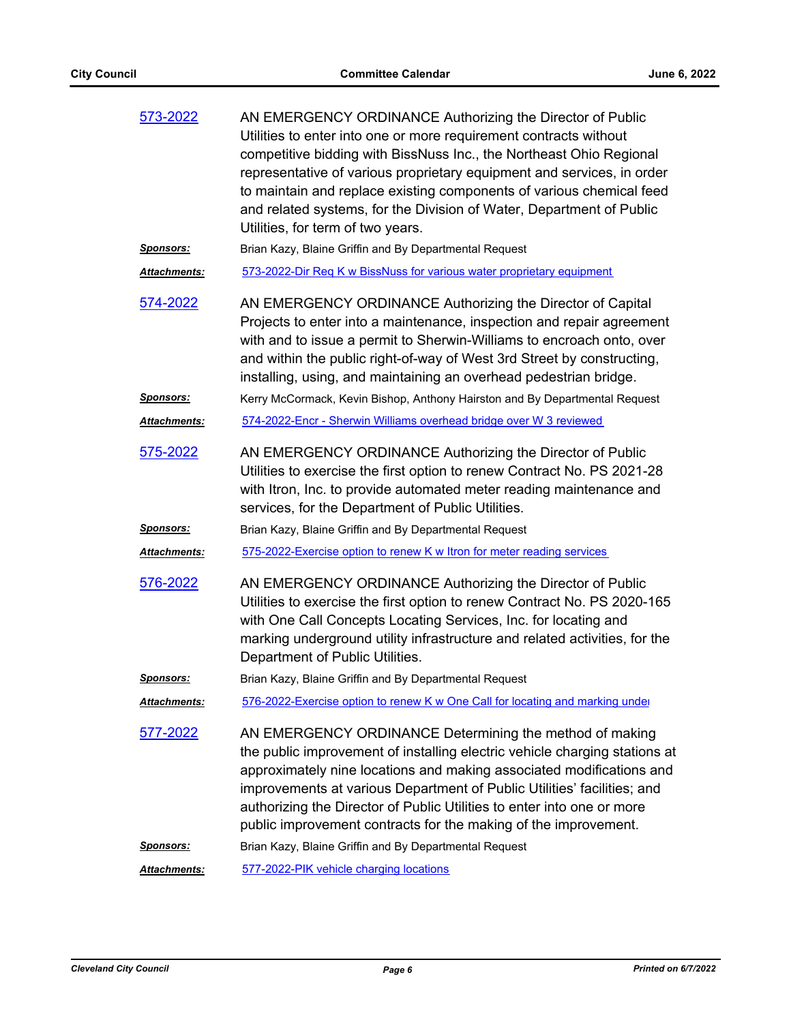| 573-2022            | AN EMERGENCY ORDINANCE Authorizing the Director of Public<br>Utilities to enter into one or more requirement contracts without<br>competitive bidding with BissNuss Inc., the Northeast Ohio Regional<br>representative of various proprietary equipment and services, in order<br>to maintain and replace existing components of various chemical feed<br>and related systems, for the Division of Water, Department of Public<br>Utilities, for term of two years. |
|---------------------|----------------------------------------------------------------------------------------------------------------------------------------------------------------------------------------------------------------------------------------------------------------------------------------------------------------------------------------------------------------------------------------------------------------------------------------------------------------------|
| <b>Sponsors:</b>    | Brian Kazy, Blaine Griffin and By Departmental Request                                                                                                                                                                                                                                                                                                                                                                                                               |
| <b>Attachments:</b> | 573-2022-Dir Req K w BissNuss for various water proprietary equipment                                                                                                                                                                                                                                                                                                                                                                                                |
| <u>574-2022</u>     | AN EMERGENCY ORDINANCE Authorizing the Director of Capital<br>Projects to enter into a maintenance, inspection and repair agreement<br>with and to issue a permit to Sherwin-Williams to encroach onto, over<br>and within the public right-of-way of West 3rd Street by constructing,<br>installing, using, and maintaining an overhead pedestrian bridge.                                                                                                          |
| <u>Sponsors:</u>    | Kerry McCormack, Kevin Bishop, Anthony Hairston and By Departmental Request                                                                                                                                                                                                                                                                                                                                                                                          |
| <b>Attachments:</b> | 574-2022-Encr - Sherwin Williams overhead bridge over W 3 reviewed                                                                                                                                                                                                                                                                                                                                                                                                   |
| 575-2022            | AN EMERGENCY ORDINANCE Authorizing the Director of Public<br>Utilities to exercise the first option to renew Contract No. PS 2021-28<br>with Itron, Inc. to provide automated meter reading maintenance and<br>services, for the Department of Public Utilities.                                                                                                                                                                                                     |
| <u>Sponsors:</u>    | Brian Kazy, Blaine Griffin and By Departmental Request                                                                                                                                                                                                                                                                                                                                                                                                               |
| <b>Attachments:</b> | 575-2022-Exercise option to renew K w Itron for meter reading services                                                                                                                                                                                                                                                                                                                                                                                               |
| 576-2022            | AN EMERGENCY ORDINANCE Authorizing the Director of Public<br>Utilities to exercise the first option to renew Contract No. PS 2020-165<br>with One Call Concepts Locating Services, Inc. for locating and<br>marking underground utility infrastructure and related activities, for the<br>Department of Public Utilities.                                                                                                                                            |
| <b>Sponsors:</b>    | Brian Kazy, Blaine Griffin and By Departmental Request                                                                                                                                                                                                                                                                                                                                                                                                               |
| Attachments:        | 576-2022-Exercise option to renew K w One Call for locating and marking under                                                                                                                                                                                                                                                                                                                                                                                        |
| <u>577-2022</u>     | AN EMERGENCY ORDINANCE Determining the method of making<br>the public improvement of installing electric vehicle charging stations at<br>approximately nine locations and making associated modifications and<br>improvements at various Department of Public Utilities' facilities; and<br>authorizing the Director of Public Utilities to enter into one or more<br>public improvement contracts for the making of the improvement.                                |
| <u>Sponsors:</u>    | Brian Kazy, Blaine Griffin and By Departmental Request                                                                                                                                                                                                                                                                                                                                                                                                               |
| <b>Attachments:</b> | 577-2022-PIK vehicle charging locations                                                                                                                                                                                                                                                                                                                                                                                                                              |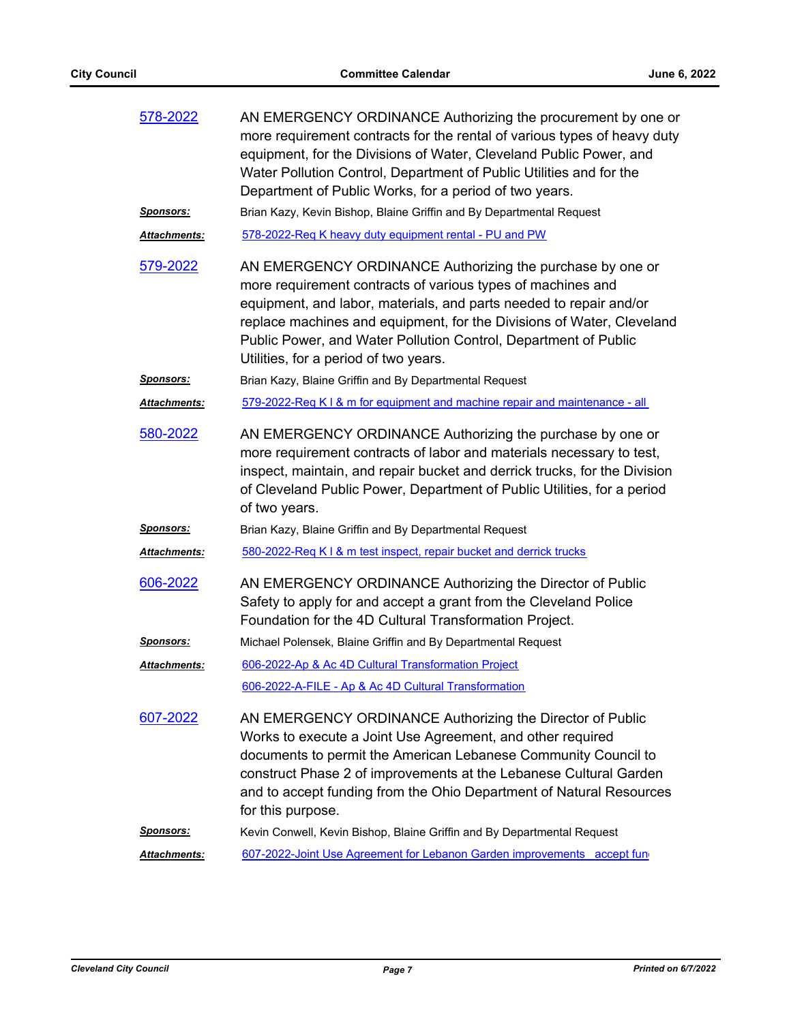| 578-2022            | AN EMERGENCY ORDINANCE Authorizing the procurement by one or<br>more requirement contracts for the rental of various types of heavy duty<br>equipment, for the Divisions of Water, Cleveland Public Power, and<br>Water Pollution Control, Department of Public Utilities and for the<br>Department of Public Works, for a period of two years.                                     |
|---------------------|-------------------------------------------------------------------------------------------------------------------------------------------------------------------------------------------------------------------------------------------------------------------------------------------------------------------------------------------------------------------------------------|
| Sponsors:           | Brian Kazy, Kevin Bishop, Blaine Griffin and By Departmental Request                                                                                                                                                                                                                                                                                                                |
| Attachments:        | 578-2022-Req K heavy duty equipment rental - PU and PW                                                                                                                                                                                                                                                                                                                              |
| 579-2022            | AN EMERGENCY ORDINANCE Authorizing the purchase by one or<br>more requirement contracts of various types of machines and<br>equipment, and labor, materials, and parts needed to repair and/or<br>replace machines and equipment, for the Divisions of Water, Cleveland<br>Public Power, and Water Pollution Control, Department of Public<br>Utilities, for a period of two years. |
| <u>Sponsors:</u>    | Brian Kazy, Blaine Griffin and By Departmental Request                                                                                                                                                                                                                                                                                                                              |
| <b>Attachments:</b> | 579-2022-Req K I & m for equipment and machine repair and maintenance - all                                                                                                                                                                                                                                                                                                         |
| 580-2022            | AN EMERGENCY ORDINANCE Authorizing the purchase by one or<br>more requirement contracts of labor and materials necessary to test,<br>inspect, maintain, and repair bucket and derrick trucks, for the Division<br>of Cleveland Public Power, Department of Public Utilities, for a period<br>of two years.                                                                          |
| <u>Sponsors:</u>    | Brian Kazy, Blaine Griffin and By Departmental Request                                                                                                                                                                                                                                                                                                                              |
| Attachments:        | 580-2022-Req K I & m test inspect, repair bucket and derrick trucks                                                                                                                                                                                                                                                                                                                 |
| 606-2022            | AN EMERGENCY ORDINANCE Authorizing the Director of Public<br>Safety to apply for and accept a grant from the Cleveland Police<br>Foundation for the 4D Cultural Transformation Project.                                                                                                                                                                                             |
| <u>Sponsors:</u>    | Michael Polensek, Blaine Griffin and By Departmental Request                                                                                                                                                                                                                                                                                                                        |
| Attachments:        | 606-2022-Ap & Ac 4D Cultural Transformation Project                                                                                                                                                                                                                                                                                                                                 |
|                     | 606-2022-A-FILE - Ap & Ac 4D Cultural Transformation                                                                                                                                                                                                                                                                                                                                |
| 607-2022            | AN EMERGENCY ORDINANCE Authorizing the Director of Public<br>Works to execute a Joint Use Agreement, and other required<br>documents to permit the American Lebanese Community Council to<br>construct Phase 2 of improvements at the Lebanese Cultural Garden<br>and to accept funding from the Ohio Department of Natural Resources<br>for this purpose.                          |
| Sponsors:           | Kevin Conwell, Kevin Bishop, Blaine Griffin and By Departmental Request                                                                                                                                                                                                                                                                                                             |
| Attachments:        | 607-2022-Joint Use Agreement for Lebanon Garden improvements accept fun                                                                                                                                                                                                                                                                                                             |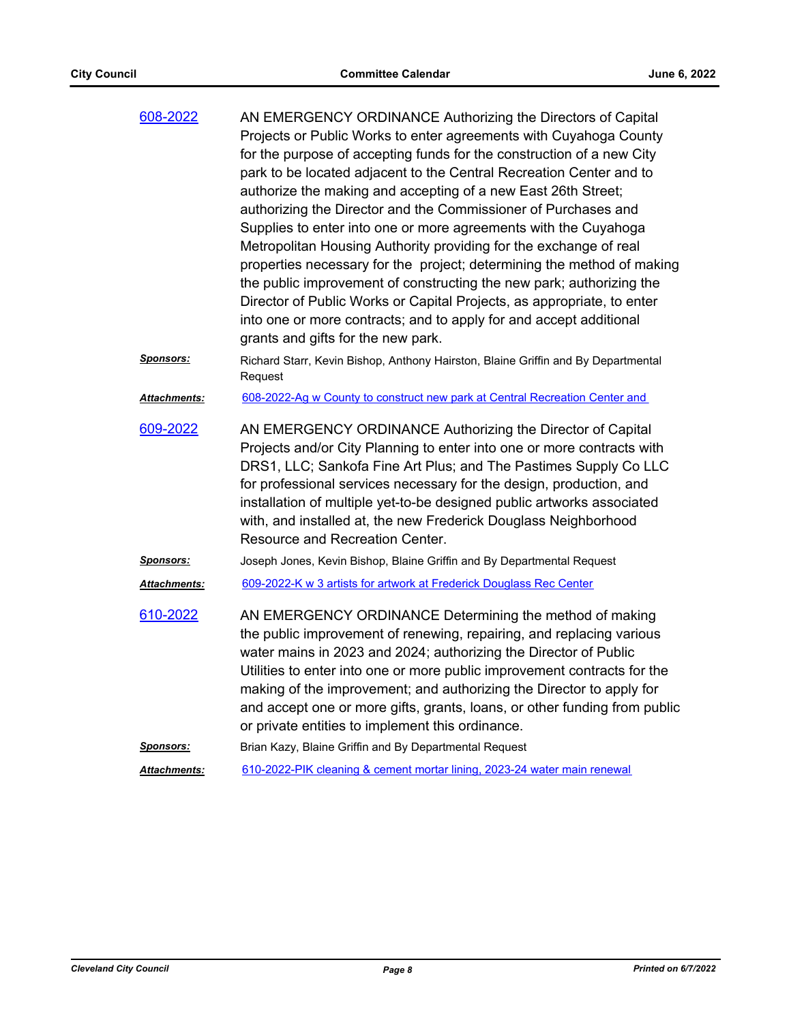| 608-2022         | AN EMERGENCY ORDINANCE Authorizing the Directors of Capital<br>Projects or Public Works to enter agreements with Cuyahoga County<br>for the purpose of accepting funds for the construction of a new City<br>park to be located adjacent to the Central Recreation Center and to<br>authorize the making and accepting of a new East 26th Street;<br>authorizing the Director and the Commissioner of Purchases and<br>Supplies to enter into one or more agreements with the Cuyahoga<br>Metropolitan Housing Authority providing for the exchange of real<br>properties necessary for the project; determining the method of making<br>the public improvement of constructing the new park; authorizing the<br>Director of Public Works or Capital Projects, as appropriate, to enter<br>into one or more contracts; and to apply for and accept additional<br>grants and gifts for the new park. |
|------------------|-----------------------------------------------------------------------------------------------------------------------------------------------------------------------------------------------------------------------------------------------------------------------------------------------------------------------------------------------------------------------------------------------------------------------------------------------------------------------------------------------------------------------------------------------------------------------------------------------------------------------------------------------------------------------------------------------------------------------------------------------------------------------------------------------------------------------------------------------------------------------------------------------------|
| <u>Sponsors:</u> | Richard Starr, Kevin Bishop, Anthony Hairston, Blaine Griffin and By Departmental<br>Request                                                                                                                                                                                                                                                                                                                                                                                                                                                                                                                                                                                                                                                                                                                                                                                                        |
| Attachments:     | 608-2022-Ag w County to construct new park at Central Recreation Center and                                                                                                                                                                                                                                                                                                                                                                                                                                                                                                                                                                                                                                                                                                                                                                                                                         |
| 609-2022         | AN EMERGENCY ORDINANCE Authorizing the Director of Capital<br>Projects and/or City Planning to enter into one or more contracts with<br>DRS1, LLC; Sankofa Fine Art Plus; and The Pastimes Supply Co LLC<br>for professional services necessary for the design, production, and<br>installation of multiple yet-to-be designed public artworks associated<br>with, and installed at, the new Frederick Douglass Neighborhood<br>Resource and Recreation Center.                                                                                                                                                                                                                                                                                                                                                                                                                                     |
| <b>Sponsors:</b> | Joseph Jones, Kevin Bishop, Blaine Griffin and By Departmental Request                                                                                                                                                                                                                                                                                                                                                                                                                                                                                                                                                                                                                                                                                                                                                                                                                              |
| Attachments:     | 609-2022-K w 3 artists for artwork at Frederick Douglass Rec Center                                                                                                                                                                                                                                                                                                                                                                                                                                                                                                                                                                                                                                                                                                                                                                                                                                 |
| 610-2022         | AN EMERGENCY ORDINANCE Determining the method of making<br>the public improvement of renewing, repairing, and replacing various<br>water mains in 2023 and 2024; authorizing the Director of Public<br>Utilities to enter into one or more public improvement contracts for the<br>making of the improvement; and authorizing the Director to apply for<br>and accept one or more gifts, grants, loans, or other funding from public<br>or private entities to implement this ordinance.                                                                                                                                                                                                                                                                                                                                                                                                            |
| <u>Sponsors:</u> | Brian Kazy, Blaine Griffin and By Departmental Request                                                                                                                                                                                                                                                                                                                                                                                                                                                                                                                                                                                                                                                                                                                                                                                                                                              |
| Attachments:     | 610-2022-PIK cleaning & cement mortar lining, 2023-24 water main renewal                                                                                                                                                                                                                                                                                                                                                                                                                                                                                                                                                                                                                                                                                                                                                                                                                            |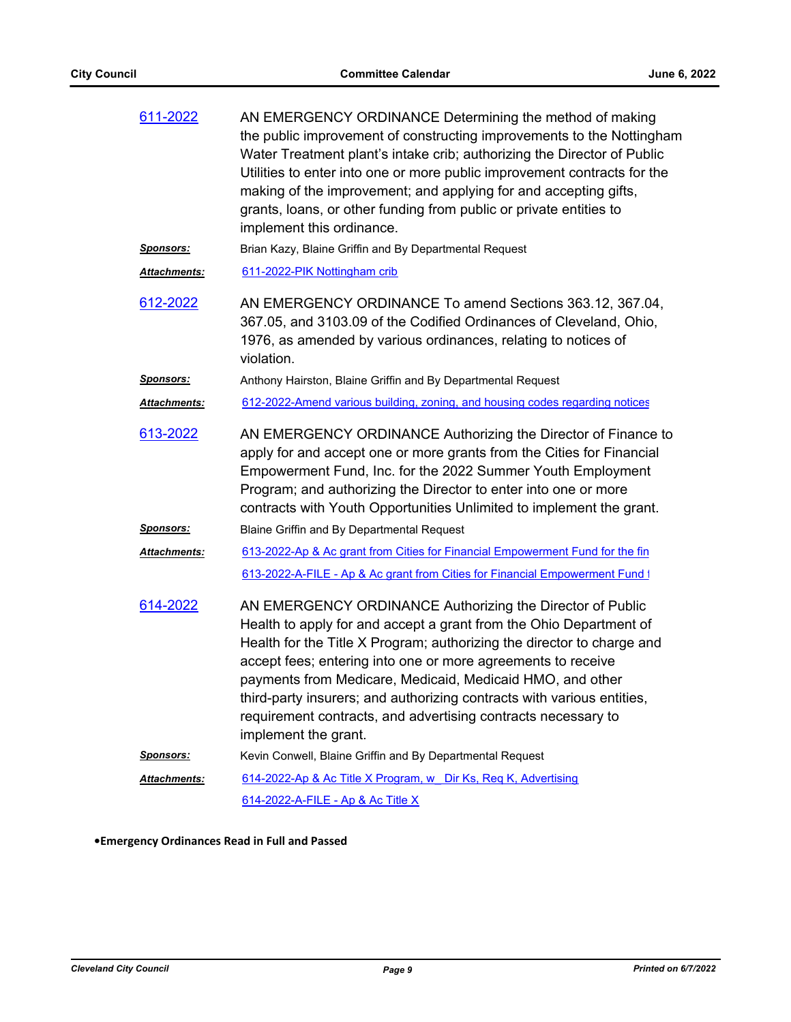| 611-2022             | AN EMERGENCY ORDINANCE Determining the method of making<br>the public improvement of constructing improvements to the Nottingham<br>Water Treatment plant's intake crib; authorizing the Director of Public<br>Utilities to enter into one or more public improvement contracts for the<br>making of the improvement; and applying for and accepting gifts,<br>grants, loans, or other funding from public or private entities to<br>implement this ordinance.                                            |
|----------------------|-----------------------------------------------------------------------------------------------------------------------------------------------------------------------------------------------------------------------------------------------------------------------------------------------------------------------------------------------------------------------------------------------------------------------------------------------------------------------------------------------------------|
| <u>Sponsors:</u>     | Brian Kazy, Blaine Griffin and By Departmental Request                                                                                                                                                                                                                                                                                                                                                                                                                                                    |
| <u> Attachments:</u> | 611-2022-PIK Nottingham crib                                                                                                                                                                                                                                                                                                                                                                                                                                                                              |
| 612-2022             | AN EMERGENCY ORDINANCE To amend Sections 363.12, 367.04,<br>367.05, and 3103.09 of the Codified Ordinances of Cleveland, Ohio,<br>1976, as amended by various ordinances, relating to notices of<br>violation.                                                                                                                                                                                                                                                                                            |
| <u>Sponsors:</u>     | Anthony Hairston, Blaine Griffin and By Departmental Request                                                                                                                                                                                                                                                                                                                                                                                                                                              |
| Attachments:         | 612-2022-Amend various building, zoning, and housing codes regarding notices                                                                                                                                                                                                                                                                                                                                                                                                                              |
| 613-2022             | AN EMERGENCY ORDINANCE Authorizing the Director of Finance to<br>apply for and accept one or more grants from the Cities for Financial<br>Empowerment Fund, Inc. for the 2022 Summer Youth Employment<br>Program; and authorizing the Director to enter into one or more<br>contracts with Youth Opportunities Unlimited to implement the grant.                                                                                                                                                          |
| <u>Sponsors:</u>     | Blaine Griffin and By Departmental Request                                                                                                                                                                                                                                                                                                                                                                                                                                                                |
| Attachments:         | 613-2022-Ap & Ac grant from Cities for Financial Empowerment Fund for the fin                                                                                                                                                                                                                                                                                                                                                                                                                             |
|                      | 613-2022-A-FILE - Ap & Ac grant from Cities for Financial Empowerment Fund 1                                                                                                                                                                                                                                                                                                                                                                                                                              |
| 614-2022             | AN EMERGENCY ORDINANCE Authorizing the Director of Public<br>Health to apply for and accept a grant from the Ohio Department of<br>Health for the Title X Program; authorizing the director to charge and<br>accept fees; entering into one or more agreements to receive<br>payments from Medicare, Medicaid, Medicaid HMO, and other<br>third-party insurers; and authorizing contracts with various entities,<br>requirement contracts, and advertising contracts necessary to<br>implement the grant. |
| <u>Sponsors:</u>     | Kevin Conwell, Blaine Griffin and By Departmental Request                                                                                                                                                                                                                                                                                                                                                                                                                                                 |
| <u> Attachments:</u> | 614-2022-Ap & Ac Title X Program, w Dir Ks, Reg K, Advertising                                                                                                                                                                                                                                                                                                                                                                                                                                            |
|                      | 614-2022-A-FILE - Ap & Ac Title X                                                                                                                                                                                                                                                                                                                                                                                                                                                                         |

**•Emergency Ordinances Read in Full and Passed**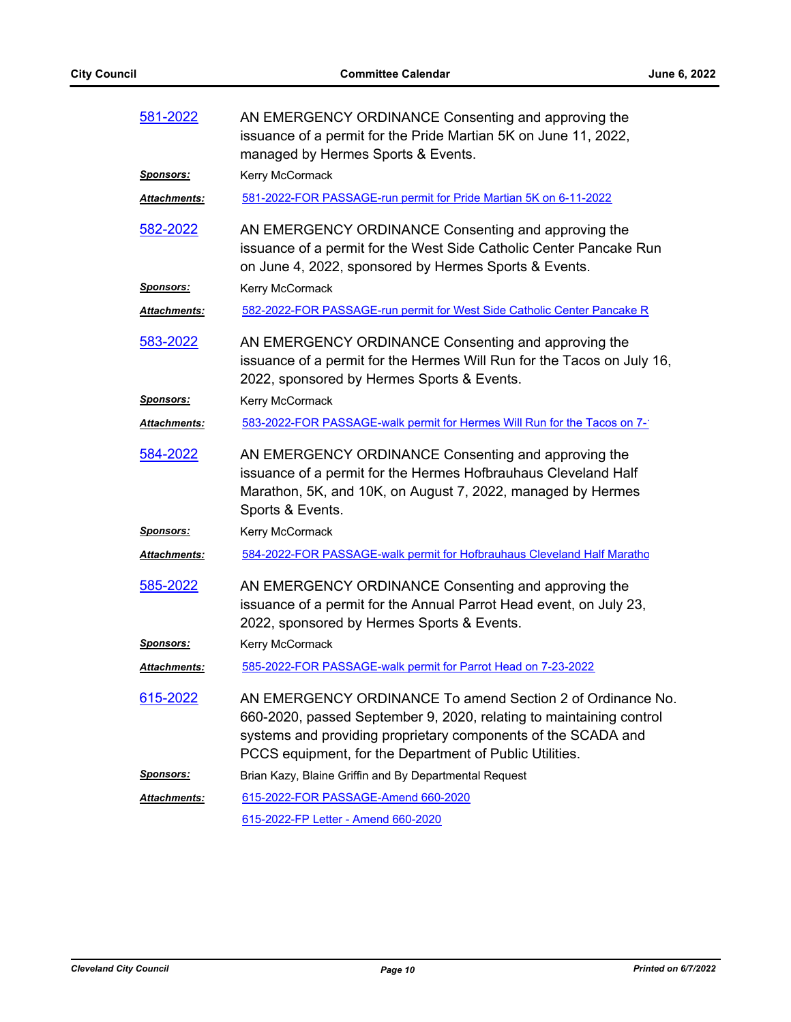| 581-2022             | AN EMERGENCY ORDINANCE Consenting and approving the<br>issuance of a permit for the Pride Martian 5K on June 11, 2022,<br>managed by Hermes Sports & Events.                                                                                                  |
|----------------------|---------------------------------------------------------------------------------------------------------------------------------------------------------------------------------------------------------------------------------------------------------------|
| <u>Sponsors:</u>     | Kerry McCormack                                                                                                                                                                                                                                               |
| Attachments:         | 581-2022-FOR PASSAGE-run permit for Pride Martian 5K on 6-11-2022                                                                                                                                                                                             |
| <u>582-2022</u>      | AN EMERGENCY ORDINANCE Consenting and approving the<br>issuance of a permit for the West Side Catholic Center Pancake Run<br>on June 4, 2022, sponsored by Hermes Sports & Events.                                                                            |
| Sponsors:            | Kerry McCormack                                                                                                                                                                                                                                               |
| <u> Attachments:</u> | 582-2022-FOR PASSAGE-run permit for West Side Catholic Center Pancake R                                                                                                                                                                                       |
| 583-2022             | AN EMERGENCY ORDINANCE Consenting and approving the<br>issuance of a permit for the Hermes Will Run for the Tacos on July 16,<br>2022, sponsored by Hermes Sports & Events.                                                                                   |
| <u> Sponsors:</u>    | Kerry McCormack                                                                                                                                                                                                                                               |
| <u> Attachments:</u> | 583-2022-FOR PASSAGE-walk permit for Hermes Will Run for the Tacos on 7-1                                                                                                                                                                                     |
| 584-2022             | AN EMERGENCY ORDINANCE Consenting and approving the<br>issuance of a permit for the Hermes Hofbrauhaus Cleveland Half<br>Marathon, 5K, and 10K, on August 7, 2022, managed by Hermes<br>Sports & Events.                                                      |
| <u>Sponsors:</u>     | Kerry McCormack                                                                                                                                                                                                                                               |
| Attachments:         | 584-2022-FOR PASSAGE-walk permit for Hofbrauhaus Cleveland Half Maratho                                                                                                                                                                                       |
| <u>585-2022</u>      | AN EMERGENCY ORDINANCE Consenting and approving the<br>issuance of a permit for the Annual Parrot Head event, on July 23,<br>2022, sponsored by Hermes Sports & Events.                                                                                       |
| <u>Sponsors:</u>     | Kerry McCormack                                                                                                                                                                                                                                               |
| <b>Attachments:</b>  | 585-2022-FOR PASSAGE-walk permit for Parrot Head on 7-23-2022                                                                                                                                                                                                 |
| <u>615-2022</u>      | AN EMERGENCY ORDINANCE To amend Section 2 of Ordinance No.<br>660-2020, passed September 9, 2020, relating to maintaining control<br>systems and providing proprietary components of the SCADA and<br>PCCS equipment, for the Department of Public Utilities. |
| <u>Sponsors:</u>     | Brian Kazy, Blaine Griffin and By Departmental Request                                                                                                                                                                                                        |
| Attachments:         | 615-2022-FOR PASSAGE-Amend 660-2020                                                                                                                                                                                                                           |
|                      | 615-2022-FP Letter - Amend 660-2020                                                                                                                                                                                                                           |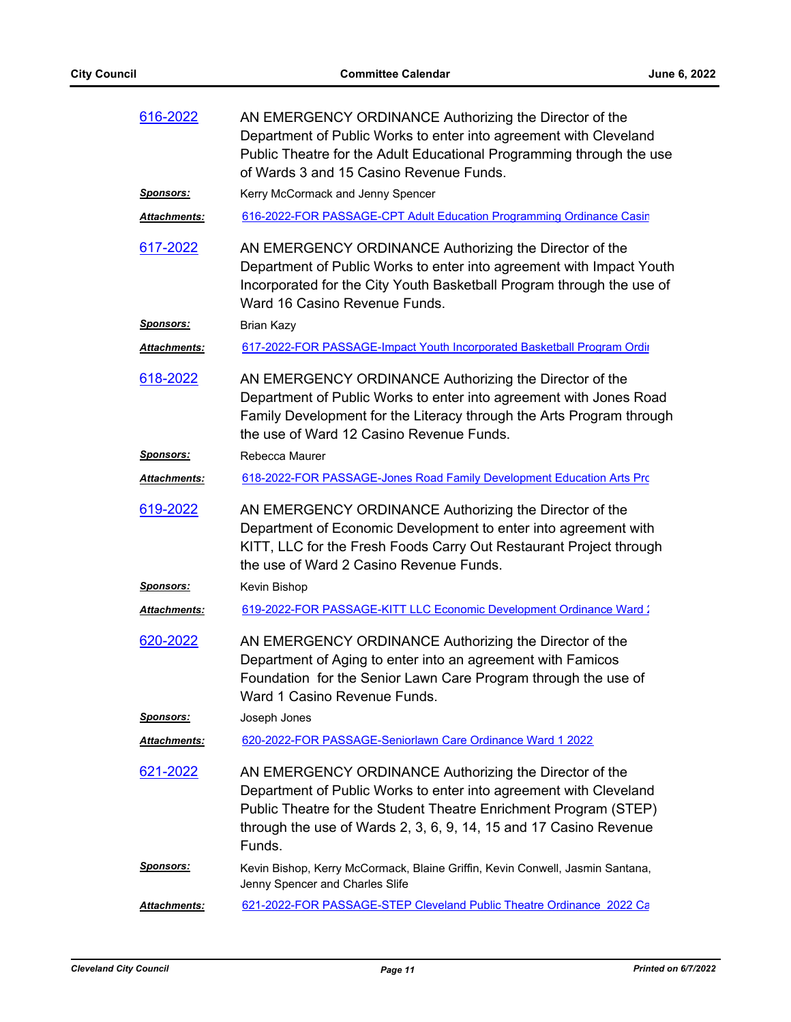| 616-2022            | AN EMERGENCY ORDINANCE Authorizing the Director of the<br>Department of Public Works to enter into agreement with Cleveland<br>Public Theatre for the Adult Educational Programming through the use<br>of Wards 3 and 15 Casino Revenue Funds.                                 |
|---------------------|--------------------------------------------------------------------------------------------------------------------------------------------------------------------------------------------------------------------------------------------------------------------------------|
| <u>Sponsors:</u>    | Kerry McCormack and Jenny Spencer                                                                                                                                                                                                                                              |
| Attachments:        | 616-2022-FOR PASSAGE-CPT Adult Education Programming Ordinance Casin                                                                                                                                                                                                           |
| 617-2022            | AN EMERGENCY ORDINANCE Authorizing the Director of the<br>Department of Public Works to enter into agreement with Impact Youth<br>Incorporated for the City Youth Basketball Program through the use of<br>Ward 16 Casino Revenue Funds.                                       |
| <u>Sponsors:</u>    | <b>Brian Kazy</b>                                                                                                                                                                                                                                                              |
| <b>Attachments:</b> | 617-2022-FOR PASSAGE-Impact Youth Incorporated Basketball Program Ordin                                                                                                                                                                                                        |
| 618-2022            | AN EMERGENCY ORDINANCE Authorizing the Director of the<br>Department of Public Works to enter into agreement with Jones Road<br>Family Development for the Literacy through the Arts Program through<br>the use of Ward 12 Casino Revenue Funds.                               |
| <b>Sponsors:</b>    | Rebecca Maurer                                                                                                                                                                                                                                                                 |
| Attachments:        | 618-2022-FOR PASSAGE-Jones Road Family Development Education Arts Prc                                                                                                                                                                                                          |
| 619-2022            | AN EMERGENCY ORDINANCE Authorizing the Director of the<br>Department of Economic Development to enter into agreement with<br>KITT, LLC for the Fresh Foods Carry Out Restaurant Project through<br>the use of Ward 2 Casino Revenue Funds.                                     |
| <u>Sponsors:</u>    | Kevin Bishop                                                                                                                                                                                                                                                                   |
| <b>Attachments:</b> | 619-2022-FOR PASSAGE-KITT LLC Economic Development Ordinance Ward 2                                                                                                                                                                                                            |
| 620-2022            | AN EMERGENCY ORDINANCE Authorizing the Director of the<br>Department of Aging to enter into an agreement with Famicos<br>Foundation for the Senior Lawn Care Program through the use of<br>Ward 1 Casino Revenue Funds.                                                        |
| <u>Sponsors:</u>    | Joseph Jones                                                                                                                                                                                                                                                                   |
| Attachments:        | 620-2022-FOR PASSAGE-Seniorlawn Care Ordinance Ward 1 2022                                                                                                                                                                                                                     |
| <u>621-2022</u>     | AN EMERGENCY ORDINANCE Authorizing the Director of the<br>Department of Public Works to enter into agreement with Cleveland<br>Public Theatre for the Student Theatre Enrichment Program (STEP)<br>through the use of Wards 2, 3, 6, 9, 14, 15 and 17 Casino Revenue<br>Funds. |
| <u>Sponsors:</u>    | Kevin Bishop, Kerry McCormack, Blaine Griffin, Kevin Conwell, Jasmin Santana,<br>Jenny Spencer and Charles Slife                                                                                                                                                               |
| Attachments:        | 621-2022-FOR PASSAGE-STEP Cleveland Public Theatre Ordinance 2022 Ca                                                                                                                                                                                                           |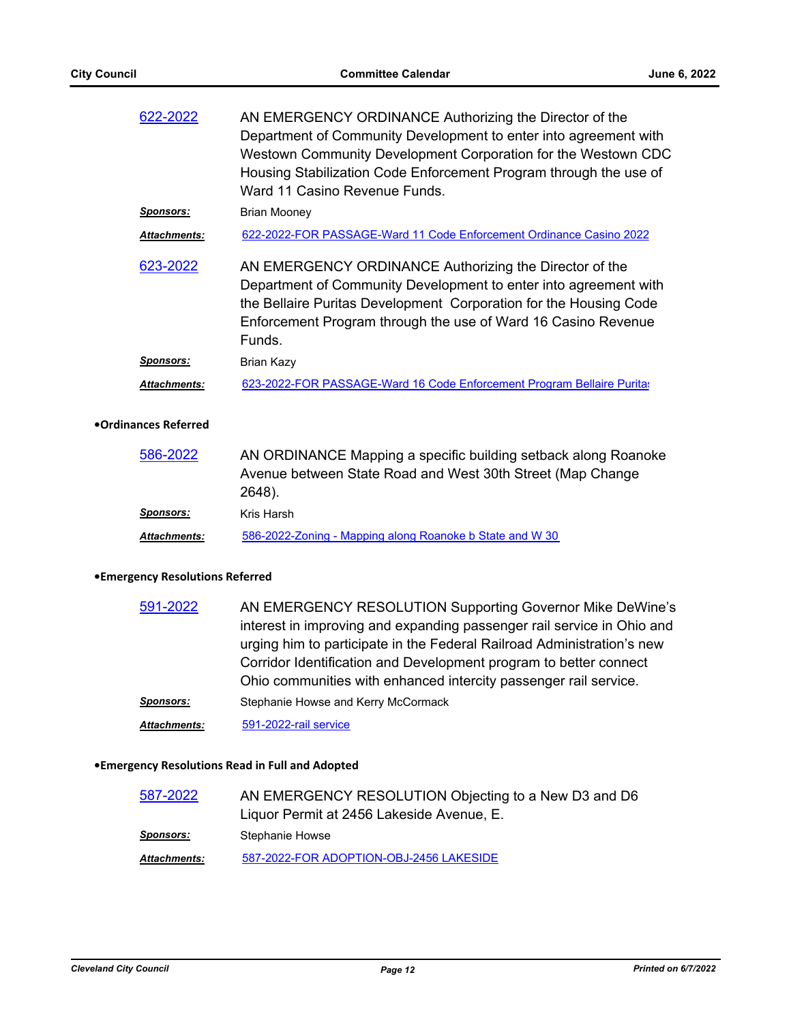| 622-2022            | AN EMERGENCY ORDINANCE Authorizing the Director of the<br>Department of Community Development to enter into agreement with<br>Westown Community Development Corporation for the Westown CDC<br>Housing Stabilization Code Enforcement Program through the use of<br>Ward 11 Casino Revenue Funds. |
|---------------------|---------------------------------------------------------------------------------------------------------------------------------------------------------------------------------------------------------------------------------------------------------------------------------------------------|
| <b>Sponsors:</b>    | <b>Brian Mooney</b>                                                                                                                                                                                                                                                                               |
| <b>Attachments:</b> | 622-2022-FOR PASSAGE-Ward 11 Code Enforcement Ordinance Casino 2022                                                                                                                                                                                                                               |
| 623-2022            | AN EMERGENCY ORDINANCE Authorizing the Director of the<br>Department of Community Development to enter into agreement with<br>the Bellaire Puritas Development Corporation for the Housing Code<br>Enforcement Program through the use of Ward 16 Casino Revenue<br>Funds.                        |
| <u>Sponsors:</u>    | Brian Kazy                                                                                                                                                                                                                                                                                        |
| <b>Attachments:</b> | 623-2022-FOR PASSAGE-Ward 16 Code Enforcement Program Bellaire Purita:                                                                                                                                                                                                                            |

#### **•Ordinances Referred**

| 586-2022            | AN ORDINANCE Mapping a specific building setback along Roanoke |
|---------------------|----------------------------------------------------------------|
|                     | Avenue between State Road and West 30th Street (Map Change     |
|                     | 2648).                                                         |
| Sponsors:           | Kris Harsh                                                     |
| <b>Attachments:</b> | 586-2022-Zoning - Mapping along Roanoke b State and W 30       |

#### **•Emergency Resolutions Referred**

| 591-2022            | AN EMERGENCY RESOLUTION Supporting Governor Mike DeWine's              |
|---------------------|------------------------------------------------------------------------|
|                     | interest in improving and expanding passenger rail service in Ohio and |
|                     | urging him to participate in the Federal Railroad Administration's new |
|                     | Corridor Identification and Development program to better connect      |
|                     | Ohio communities with enhanced intercity passenger rail service.       |
| <b>Sponsors:</b>    | Stephanie Howse and Kerry McCormack                                    |
| <b>Attachments:</b> | 591-2022-rail service                                                  |

# **•Emergency Resolutions Read in Full and Adopted**

| 587-2022            | AN EMERGENCY RESOLUTION Objecting to a New D3 and D6 |
|---------------------|------------------------------------------------------|
|                     | Liquor Permit at 2456 Lakeside Avenue, E.            |
| <b>Sponsors:</b>    | Stephanie Howse                                      |
| <b>Attachments:</b> | 587-2022-FOR ADOPTION-OBJ-2456 LAKESIDE              |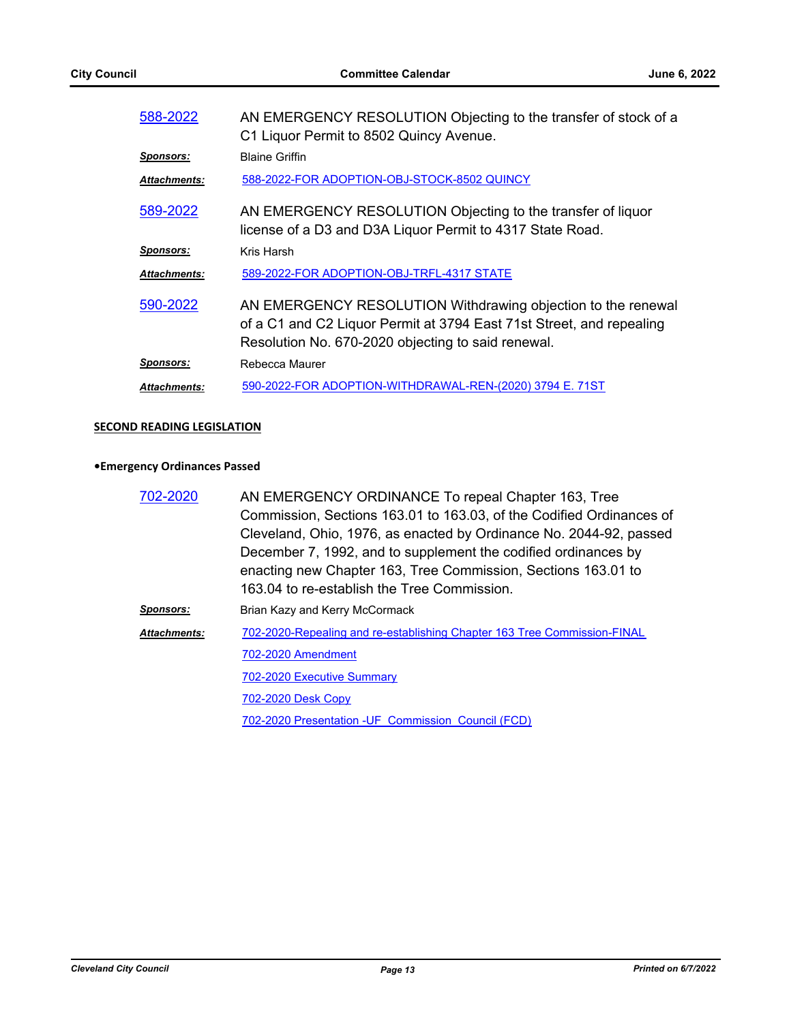| 588-2022            | AN EMERGENCY RESOLUTION Objecting to the transfer of stock of a<br>C1 Liquor Permit to 8502 Quincy Avenue.                                                                                 |
|---------------------|--------------------------------------------------------------------------------------------------------------------------------------------------------------------------------------------|
| Sponsors:           | <b>Blaine Griffin</b>                                                                                                                                                                      |
| <b>Attachments:</b> | 588-2022-FOR ADOPTION-OBJ-STOCK-8502 QUINCY                                                                                                                                                |
| 589-2022            | AN EMERGENCY RESOLUTION Objecting to the transfer of liquor<br>license of a D3 and D3A Liquor Permit to 4317 State Road.                                                                   |
| Sponsors:           | Kris Harsh                                                                                                                                                                                 |
| <b>Attachments:</b> | 589-2022-FOR ADOPTION-OBJ-TRFL-4317 STATE                                                                                                                                                  |
| 590-2022            | AN EMERGENCY RESOLUTION Withdrawing objection to the renewal<br>of a C1 and C2 Liquor Permit at 3794 East 71st Street, and repealing<br>Resolution No. 670-2020 objecting to said renewal. |
| Sponsors:           | Rebecca Maurer                                                                                                                                                                             |
| <b>Attachments:</b> | 590-2022-FOR ADOPTION-WITHDRAWAL-REN-(2020) 3794 E. 71ST                                                                                                                                   |
|                     |                                                                                                                                                                                            |

# **SECOND READING LEGISLATION**

#### **•Emergency Ordinances Passed**

| 702-2020         | AN EMERGENCY ORDINANCE To repeal Chapter 163, Tree                       |
|------------------|--------------------------------------------------------------------------|
|                  | Commission, Sections 163.01 to 163.03, of the Codified Ordinances of     |
|                  | Cleveland, Ohio, 1976, as enacted by Ordinance No. 2044-92, passed       |
|                  | December 7, 1992, and to supplement the codified ordinances by           |
|                  | enacting new Chapter 163, Tree Commission, Sections 163.01 to            |
|                  | 163.04 to re-establish the Tree Commission.                              |
| <b>Sponsors:</b> | Brian Kazy and Kerry McCormack                                           |
| Attachments:     | 702-2020-Repealing and re-establishing Chapter 163 Tree Commission-FINAL |
|                  | 702-2020 Amendment                                                       |
|                  | <b>702-2020 Executive Summary</b>                                        |
|                  | <b>702-2020 Desk Copy</b>                                                |
|                  | 702-2020 Presentation - UF Commission Council (FCD)                      |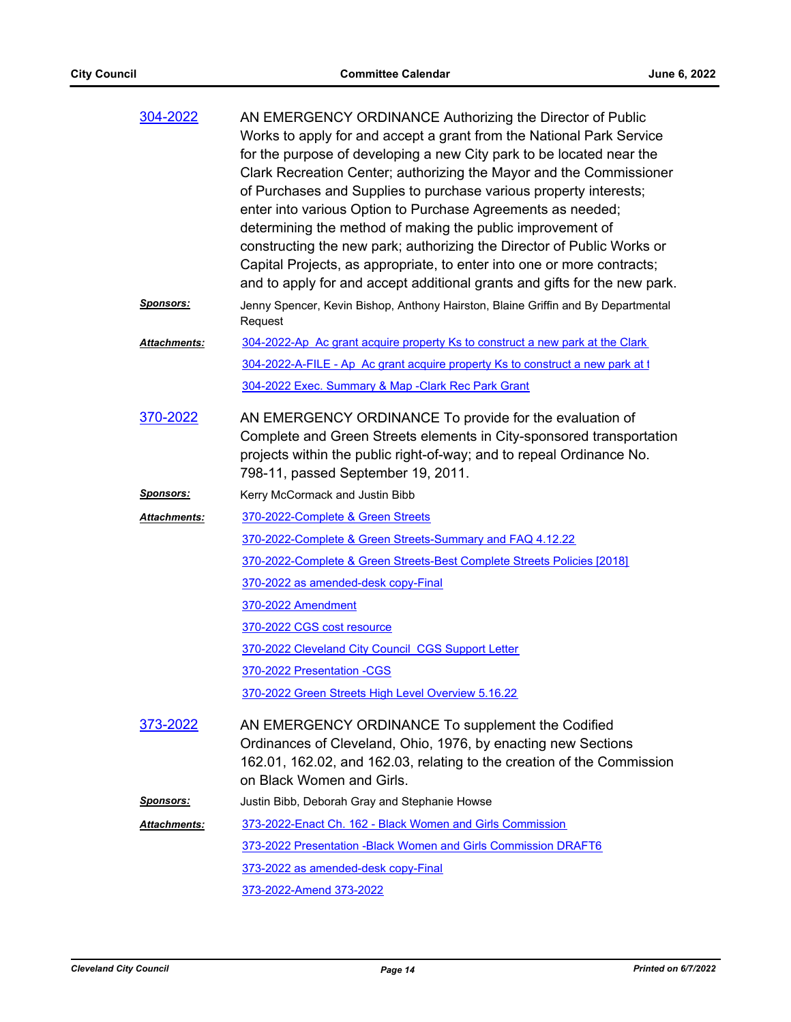| 304-2022            | AN EMERGENCY ORDINANCE Authorizing the Director of Public<br>Works to apply for and accept a grant from the National Park Service<br>for the purpose of developing a new City park to be located near the<br>Clark Recreation Center; authorizing the Mayor and the Commissioner<br>of Purchases and Supplies to purchase various property interests;<br>enter into various Option to Purchase Agreements as needed;<br>determining the method of making the public improvement of<br>constructing the new park; authorizing the Director of Public Works or<br>Capital Projects, as appropriate, to enter into one or more contracts;<br>and to apply for and accept additional grants and gifts for the new park. |
|---------------------|---------------------------------------------------------------------------------------------------------------------------------------------------------------------------------------------------------------------------------------------------------------------------------------------------------------------------------------------------------------------------------------------------------------------------------------------------------------------------------------------------------------------------------------------------------------------------------------------------------------------------------------------------------------------------------------------------------------------|
| <u>Sponsors:</u>    | Jenny Spencer, Kevin Bishop, Anthony Hairston, Blaine Griffin and By Departmental<br>Request                                                                                                                                                                                                                                                                                                                                                                                                                                                                                                                                                                                                                        |
| <b>Attachments:</b> | 304-2022-Ap Ac grant acquire property Ks to construct a new park at the Clark                                                                                                                                                                                                                                                                                                                                                                                                                                                                                                                                                                                                                                       |
|                     | 304-2022-A-FILE - Ap Ac grant acquire property Ks to construct a new park at 1                                                                                                                                                                                                                                                                                                                                                                                                                                                                                                                                                                                                                                      |
|                     | 304-2022 Exec. Summary & Map -Clark Rec Park Grant                                                                                                                                                                                                                                                                                                                                                                                                                                                                                                                                                                                                                                                                  |
| 370-2022            | AN EMERGENCY ORDINANCE To provide for the evaluation of<br>Complete and Green Streets elements in City-sponsored transportation<br>projects within the public right-of-way; and to repeal Ordinance No.<br>798-11, passed September 19, 2011.                                                                                                                                                                                                                                                                                                                                                                                                                                                                       |
| <u>Sponsors:</u>    | Kerry McCormack and Justin Bibb                                                                                                                                                                                                                                                                                                                                                                                                                                                                                                                                                                                                                                                                                     |
| Attachments:        | 370-2022-Complete & Green Streets                                                                                                                                                                                                                                                                                                                                                                                                                                                                                                                                                                                                                                                                                   |
|                     | 370-2022-Complete & Green Streets-Summary and FAQ 4.12.22                                                                                                                                                                                                                                                                                                                                                                                                                                                                                                                                                                                                                                                           |
|                     | 370-2022-Complete & Green Streets-Best Complete Streets Policies [2018]                                                                                                                                                                                                                                                                                                                                                                                                                                                                                                                                                                                                                                             |
|                     | 370-2022 as amended-desk copy-Final                                                                                                                                                                                                                                                                                                                                                                                                                                                                                                                                                                                                                                                                                 |
|                     | 370-2022 Amendment                                                                                                                                                                                                                                                                                                                                                                                                                                                                                                                                                                                                                                                                                                  |
|                     | 370-2022 CGS cost resource                                                                                                                                                                                                                                                                                                                                                                                                                                                                                                                                                                                                                                                                                          |
|                     | 370-2022 Cleveland City Council CGS Support Letter                                                                                                                                                                                                                                                                                                                                                                                                                                                                                                                                                                                                                                                                  |
|                     | 370-2022 Presentation -CGS                                                                                                                                                                                                                                                                                                                                                                                                                                                                                                                                                                                                                                                                                          |
|                     | 370-2022 Green Streets High Level Overview 5.16.22                                                                                                                                                                                                                                                                                                                                                                                                                                                                                                                                                                                                                                                                  |
| 373-2022            | AN EMERGENCY ORDINANCE To supplement the Codified<br>Ordinances of Cleveland, Ohio, 1976, by enacting new Sections<br>162.01, 162.02, and 162.03, relating to the creation of the Commission<br>on Black Women and Girls.                                                                                                                                                                                                                                                                                                                                                                                                                                                                                           |
| <u>Sponsors:</u>    | Justin Bibb, Deborah Gray and Stephanie Howse                                                                                                                                                                                                                                                                                                                                                                                                                                                                                                                                                                                                                                                                       |
| <b>Attachments:</b> | 373-2022-Enact Ch. 162 - Black Women and Girls Commission                                                                                                                                                                                                                                                                                                                                                                                                                                                                                                                                                                                                                                                           |
|                     | 373-2022 Presentation - Black Women and Girls Commission DRAFT6                                                                                                                                                                                                                                                                                                                                                                                                                                                                                                                                                                                                                                                     |
|                     | 373-2022 as amended-desk copy-Final                                                                                                                                                                                                                                                                                                                                                                                                                                                                                                                                                                                                                                                                                 |
|                     | 373-2022-Amend 373-2022                                                                                                                                                                                                                                                                                                                                                                                                                                                                                                                                                                                                                                                                                             |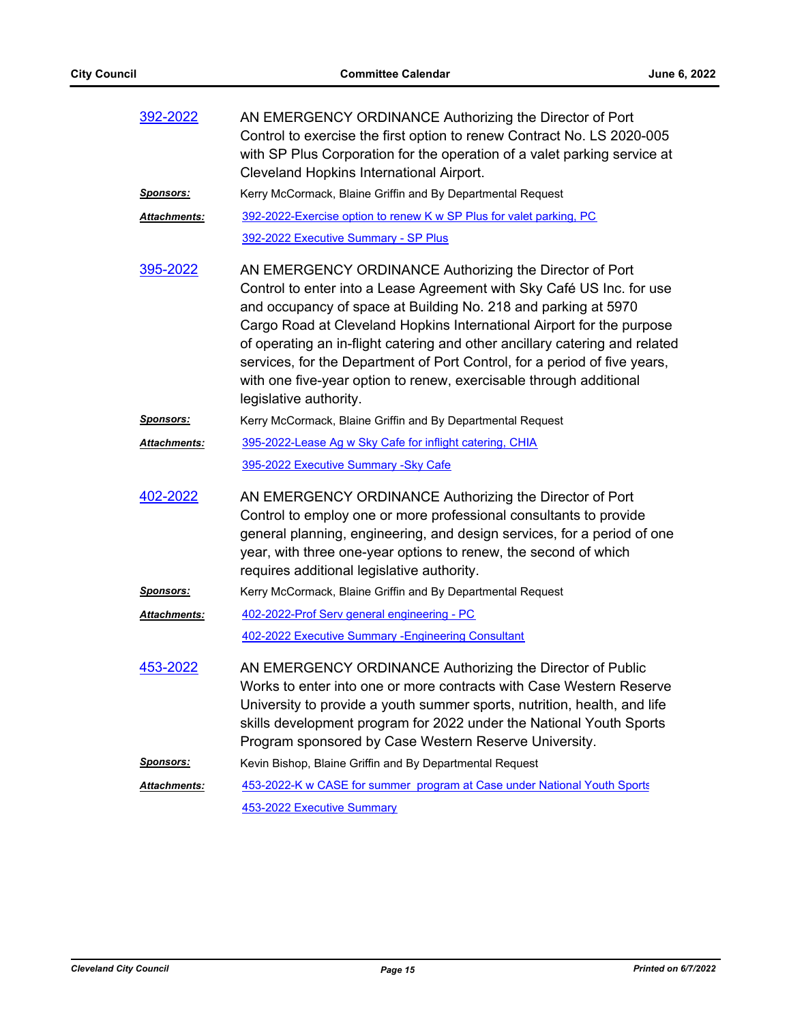| 392-2022             | AN EMERGENCY ORDINANCE Authorizing the Director of Port<br>Control to exercise the first option to renew Contract No. LS 2020-005<br>with SP Plus Corporation for the operation of a valet parking service at<br>Cleveland Hopkins International Airport.                                                                                                                                                                                                                                                                               |
|----------------------|-----------------------------------------------------------------------------------------------------------------------------------------------------------------------------------------------------------------------------------------------------------------------------------------------------------------------------------------------------------------------------------------------------------------------------------------------------------------------------------------------------------------------------------------|
| <u>Sponsors:</u>     | Kerry McCormack, Blaine Griffin and By Departmental Request                                                                                                                                                                                                                                                                                                                                                                                                                                                                             |
| <u> Attachments:</u> | 392-2022-Exercise option to renew K w SP Plus for valet parking, PC                                                                                                                                                                                                                                                                                                                                                                                                                                                                     |
|                      | 392-2022 Executive Summary - SP Plus                                                                                                                                                                                                                                                                                                                                                                                                                                                                                                    |
| 395-2022             | AN EMERGENCY ORDINANCE Authorizing the Director of Port<br>Control to enter into a Lease Agreement with Sky Café US Inc. for use<br>and occupancy of space at Building No. 218 and parking at 5970<br>Cargo Road at Cleveland Hopkins International Airport for the purpose<br>of operating an in-flight catering and other ancillary catering and related<br>services, for the Department of Port Control, for a period of five years,<br>with one five-year option to renew, exercisable through additional<br>legislative authority. |
| <u> Sponsors:</u>    | Kerry McCormack, Blaine Griffin and By Departmental Request                                                                                                                                                                                                                                                                                                                                                                                                                                                                             |
| Attachments:         | 395-2022-Lease Ag w Sky Cafe for inflight catering, CHIA                                                                                                                                                                                                                                                                                                                                                                                                                                                                                |
|                      | 395-2022 Executive Summary - Sky Cafe                                                                                                                                                                                                                                                                                                                                                                                                                                                                                                   |
| 402-2022             | AN EMERGENCY ORDINANCE Authorizing the Director of Port<br>Control to employ one or more professional consultants to provide<br>general planning, engineering, and design services, for a period of one<br>year, with three one-year options to renew, the second of which<br>requires additional legislative authority.                                                                                                                                                                                                                |
| <u>Sponsors:</u>     | Kerry McCormack, Blaine Griffin and By Departmental Request                                                                                                                                                                                                                                                                                                                                                                                                                                                                             |
| <u> Attachments:</u> | 402-2022-Prof Serv general engineering - PC<br>402-2022 Executive Summary - Engineering Consultant                                                                                                                                                                                                                                                                                                                                                                                                                                      |
| 453-2022             | AN EMERGENCY ORDINANCE Authorizing the Director of Public<br>Works to enter into one or more contracts with Case Western Reserve<br>University to provide a youth summer sports, nutrition, health, and life<br>skills development program for 2022 under the National Youth Sports<br>Program sponsored by Case Western Reserve University.                                                                                                                                                                                            |
| <u>Sponsors:</u>     | Kevin Bishop, Blaine Griffin and By Departmental Request                                                                                                                                                                                                                                                                                                                                                                                                                                                                                |
| <u> Attachments:</u> | 453-2022-K w CASE for summer program at Case under National Youth Sports                                                                                                                                                                                                                                                                                                                                                                                                                                                                |
|                      | 453-2022 Executive Summary                                                                                                                                                                                                                                                                                                                                                                                                                                                                                                              |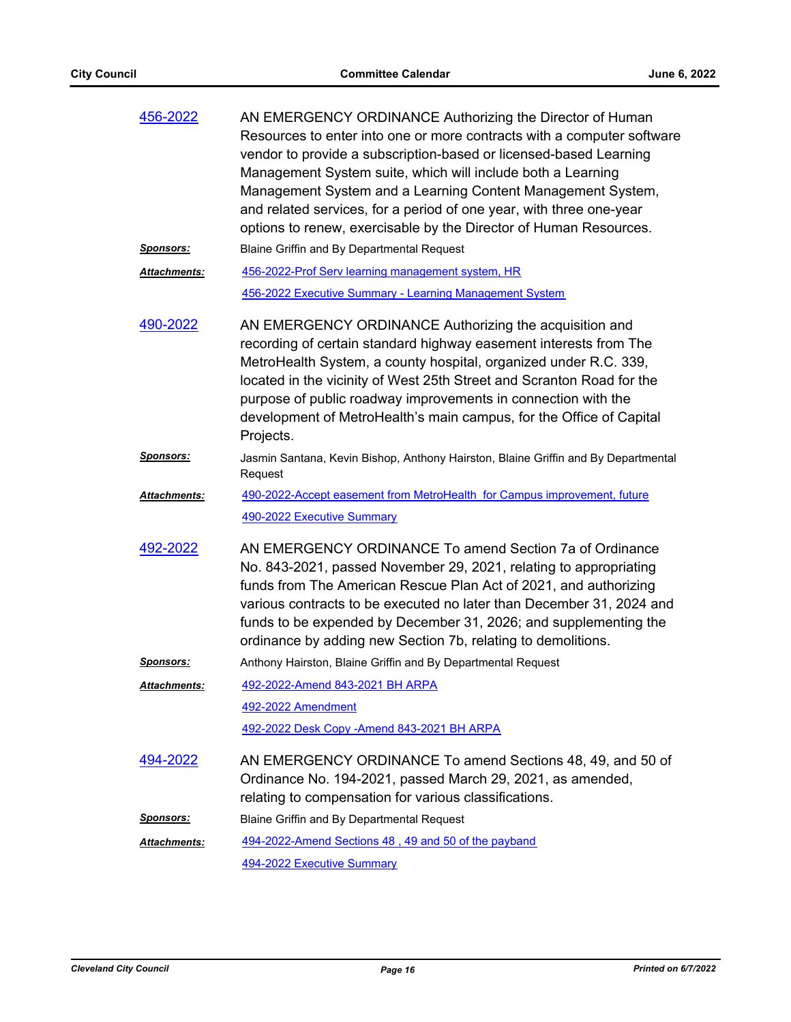| 456-2022            | AN EMERGENCY ORDINANCE Authorizing the Director of Human<br>Resources to enter into one or more contracts with a computer software<br>vendor to provide a subscription-based or licensed-based Learning<br>Management System suite, which will include both a Learning<br>Management System and a Learning Content Management System,<br>and related services, for a period of one year, with three one-year<br>options to renew, exercisable by the Director of Human Resources. |
|---------------------|-----------------------------------------------------------------------------------------------------------------------------------------------------------------------------------------------------------------------------------------------------------------------------------------------------------------------------------------------------------------------------------------------------------------------------------------------------------------------------------|
| <u>Sponsors:</u>    | Blaine Griffin and By Departmental Request                                                                                                                                                                                                                                                                                                                                                                                                                                        |
| <b>Attachments:</b> | 456-2022-Prof Serv learning management system, HR                                                                                                                                                                                                                                                                                                                                                                                                                                 |
|                     | 456-2022 Executive Summary - Learning Management System                                                                                                                                                                                                                                                                                                                                                                                                                           |
| 490-2022            | AN EMERGENCY ORDINANCE Authorizing the acquisition and<br>recording of certain standard highway easement interests from The<br>MetroHealth System, a county hospital, organized under R.C. 339,<br>located in the vicinity of West 25th Street and Scranton Road for the<br>purpose of public roadway improvements in connection with the<br>development of MetroHealth's main campus, for the Office of Capital<br>Projects.                                                     |
| <u>Sponsors:</u>    | Jasmin Santana, Kevin Bishop, Anthony Hairston, Blaine Griffin and By Departmental<br>Request                                                                                                                                                                                                                                                                                                                                                                                     |
| <b>Attachments:</b> | 490-2022-Accept easement from MetroHealth for Campus improvement, future                                                                                                                                                                                                                                                                                                                                                                                                          |
|                     | 490-2022 Executive Summary                                                                                                                                                                                                                                                                                                                                                                                                                                                        |
| 492-2022            | AN EMERGENCY ORDINANCE To amend Section 7a of Ordinance<br>No. 843-2021, passed November 29, 2021, relating to appropriating<br>funds from The American Rescue Plan Act of 2021, and authorizing<br>various contracts to be executed no later than December 31, 2024 and<br>funds to be expended by December 31, 2026; and supplementing the<br>ordinance by adding new Section 7b, relating to demolitions.                                                                      |
| <b>Sponsors:</b>    | Anthony Hairston, Blaine Griffin and By Departmental Request                                                                                                                                                                                                                                                                                                                                                                                                                      |
| Attachments:        | 492-2022-Amend 843-2021 BH ARPA                                                                                                                                                                                                                                                                                                                                                                                                                                                   |
|                     | 492-2022 Amendment                                                                                                                                                                                                                                                                                                                                                                                                                                                                |
|                     | <u>492-2022 Desk Copy -Amend 843-2021 BH ARPA</u>                                                                                                                                                                                                                                                                                                                                                                                                                                 |
| 494-2022            | AN EMERGENCY ORDINANCE To amend Sections 48, 49, and 50 of<br>Ordinance No. 194-2021, passed March 29, 2021, as amended,<br>relating to compensation for various classifications.                                                                                                                                                                                                                                                                                                 |
| <b>Sponsors:</b>    | Blaine Griffin and By Departmental Request                                                                                                                                                                                                                                                                                                                                                                                                                                        |
| Attachments:        | 494-2022-Amend Sections 48, 49 and 50 of the payband                                                                                                                                                                                                                                                                                                                                                                                                                              |
|                     | <b>494-2022 Executive Summary</b>                                                                                                                                                                                                                                                                                                                                                                                                                                                 |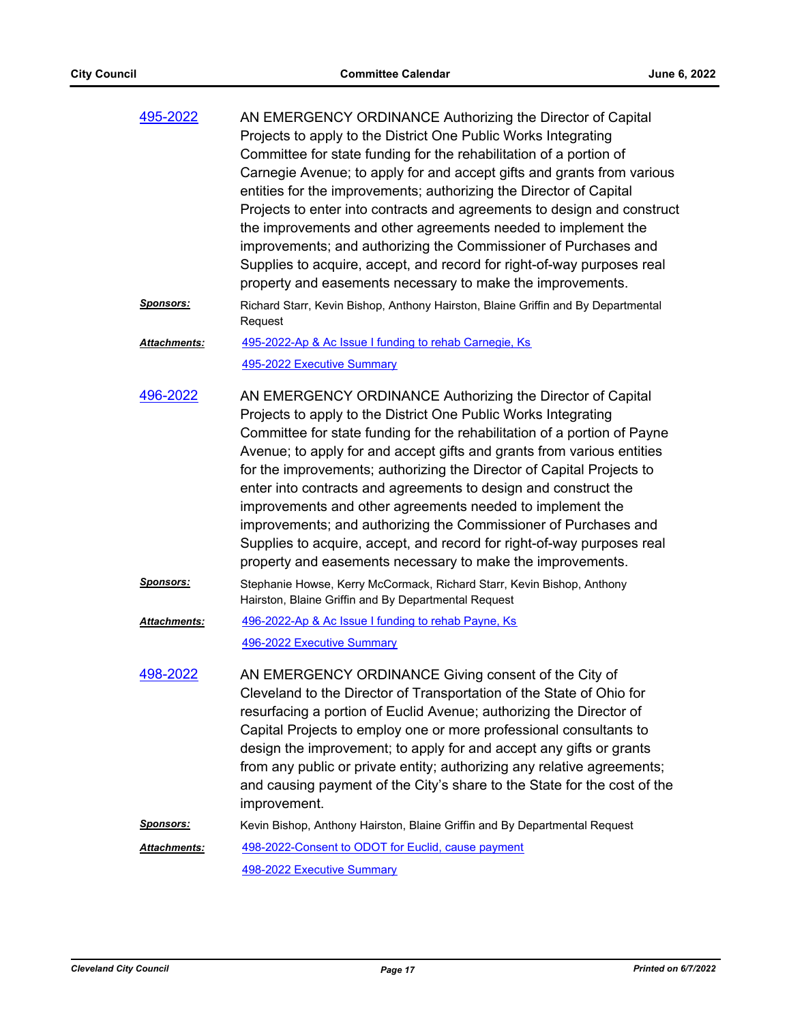| 495-2022            | AN EMERGENCY ORDINANCE Authorizing the Director of Capital<br>Projects to apply to the District One Public Works Integrating<br>Committee for state funding for the rehabilitation of a portion of<br>Carnegie Avenue; to apply for and accept gifts and grants from various<br>entities for the improvements; authorizing the Director of Capital<br>Projects to enter into contracts and agreements to design and construct<br>the improvements and other agreements needed to implement the<br>improvements; and authorizing the Commissioner of Purchases and<br>Supplies to acquire, accept, and record for right-of-way purposes real<br>property and easements necessary to make the improvements. |
|---------------------|-----------------------------------------------------------------------------------------------------------------------------------------------------------------------------------------------------------------------------------------------------------------------------------------------------------------------------------------------------------------------------------------------------------------------------------------------------------------------------------------------------------------------------------------------------------------------------------------------------------------------------------------------------------------------------------------------------------|
| <u>Sponsors:</u>    | Richard Starr, Kevin Bishop, Anthony Hairston, Blaine Griffin and By Departmental<br>Request                                                                                                                                                                                                                                                                                                                                                                                                                                                                                                                                                                                                              |
| Attachments:        | 495-2022-Ap & Ac Issue I funding to rehab Carnegie, Ks                                                                                                                                                                                                                                                                                                                                                                                                                                                                                                                                                                                                                                                    |
|                     | 495-2022 Executive Summary                                                                                                                                                                                                                                                                                                                                                                                                                                                                                                                                                                                                                                                                                |
| 496-2022            | AN EMERGENCY ORDINANCE Authorizing the Director of Capital<br>Projects to apply to the District One Public Works Integrating<br>Committee for state funding for the rehabilitation of a portion of Payne<br>Avenue; to apply for and accept gifts and grants from various entities<br>for the improvements; authorizing the Director of Capital Projects to<br>enter into contracts and agreements to design and construct the<br>improvements and other agreements needed to implement the<br>improvements; and authorizing the Commissioner of Purchases and<br>Supplies to acquire, accept, and record for right-of-way purposes real<br>property and easements necessary to make the improvements.    |
| <u>Sponsors:</u>    | Stephanie Howse, Kerry McCormack, Richard Starr, Kevin Bishop, Anthony<br>Hairston, Blaine Griffin and By Departmental Request                                                                                                                                                                                                                                                                                                                                                                                                                                                                                                                                                                            |
| <b>Attachments:</b> | 496-2022-Ap & Ac Issue I funding to rehab Payne, Ks                                                                                                                                                                                                                                                                                                                                                                                                                                                                                                                                                                                                                                                       |
|                     | 496-2022 Executive Summary                                                                                                                                                                                                                                                                                                                                                                                                                                                                                                                                                                                                                                                                                |
| 498-2022            | AN EMERGENCY ORDINANCE Giving consent of the City of<br>Cleveland to the Director of Transportation of the State of Ohio for<br>resurfacing a portion of Euclid Avenue; authorizing the Director of<br>Capital Projects to employ one or more professional consultants to<br>design the improvement; to apply for and accept any gifts or grants<br>from any public or private entity; authorizing any relative agreements;<br>and causing payment of the City's share to the State for the cost of the<br>improvement.                                                                                                                                                                                   |
| <u>Sponsors:</u>    | Kevin Bishop, Anthony Hairston, Blaine Griffin and By Departmental Request                                                                                                                                                                                                                                                                                                                                                                                                                                                                                                                                                                                                                                |
| Attachments:        | 498-2022-Consent to ODOT for Euclid, cause payment                                                                                                                                                                                                                                                                                                                                                                                                                                                                                                                                                                                                                                                        |
|                     | 498-2022 Executive Summary                                                                                                                                                                                                                                                                                                                                                                                                                                                                                                                                                                                                                                                                                |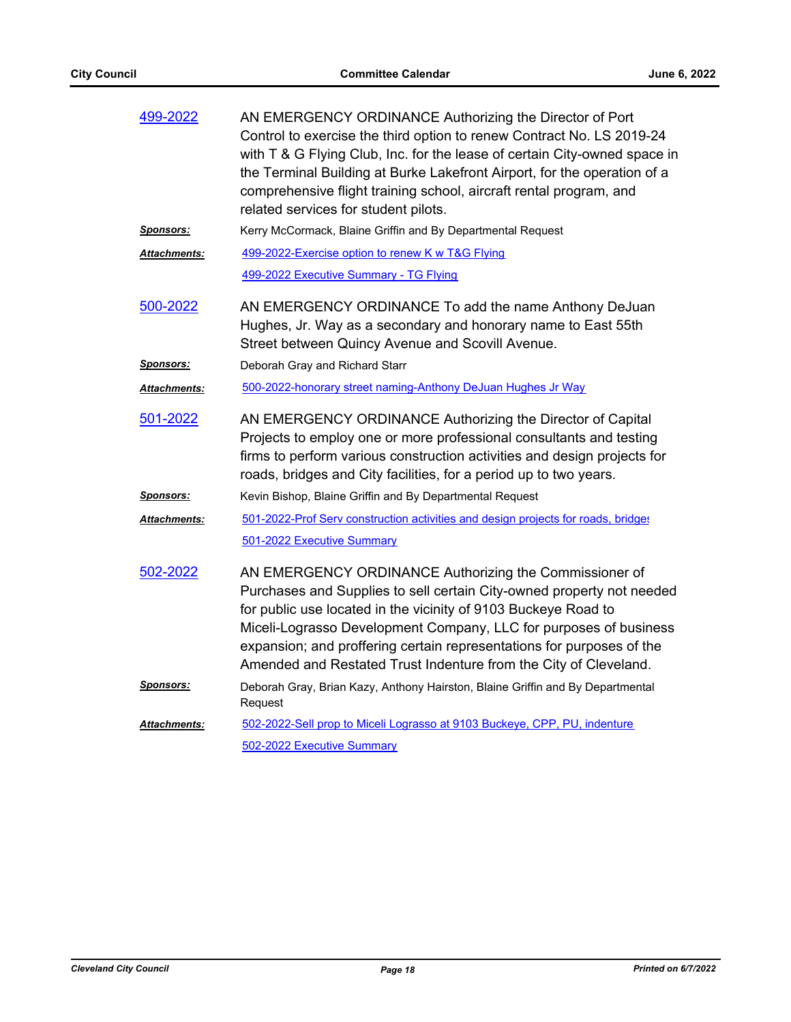| 499-2022             | AN EMERGENCY ORDINANCE Authorizing the Director of Port<br>Control to exercise the third option to renew Contract No. LS 2019-24<br>with T & G Flying Club, Inc. for the lease of certain City-owned space in<br>the Terminal Building at Burke Lakefront Airport, for the operation of a<br>comprehensive flight training school, aircraft rental program, and<br>related services for student pilots.             |  |
|----------------------|---------------------------------------------------------------------------------------------------------------------------------------------------------------------------------------------------------------------------------------------------------------------------------------------------------------------------------------------------------------------------------------------------------------------|--|
| Sponsors:            | Kerry McCormack, Blaine Griffin and By Departmental Request                                                                                                                                                                                                                                                                                                                                                         |  |
| Attachments:         | 499-2022-Exercise option to renew K w T&G Flying                                                                                                                                                                                                                                                                                                                                                                    |  |
|                      | 499-2022 Executive Summary - TG Flying                                                                                                                                                                                                                                                                                                                                                                              |  |
| 500-2022             | AN EMERGENCY ORDINANCE To add the name Anthony DeJuan<br>Hughes, Jr. Way as a secondary and honorary name to East 55th<br>Street between Quincy Avenue and Scovill Avenue.                                                                                                                                                                                                                                          |  |
| <u>Sponsors:</u>     | Deborah Gray and Richard Starr                                                                                                                                                                                                                                                                                                                                                                                      |  |
| Attachments:         | 500-2022-honorary street naming-Anthony DeJuan Hughes Jr Way                                                                                                                                                                                                                                                                                                                                                        |  |
| 501-2022             | AN EMERGENCY ORDINANCE Authorizing the Director of Capital<br>Projects to employ one or more professional consultants and testing<br>firms to perform various construction activities and design projects for<br>roads, bridges and City facilities, for a period up to two years.                                                                                                                                  |  |
| <b>Sponsors:</b>     | Kevin Bishop, Blaine Griffin and By Departmental Request                                                                                                                                                                                                                                                                                                                                                            |  |
| <u> Attachments:</u> | 501-2022-Prof Serv construction activities and design projects for roads, bridges<br>501-2022 Executive Summary                                                                                                                                                                                                                                                                                                     |  |
| 502-2022             | AN EMERGENCY ORDINANCE Authorizing the Commissioner of<br>Purchases and Supplies to sell certain City-owned property not needed<br>for public use located in the vicinity of 9103 Buckeye Road to<br>Miceli-Lograsso Development Company, LLC for purposes of business<br>expansion; and proffering certain representations for purposes of the<br>Amended and Restated Trust Indenture from the City of Cleveland. |  |
| <b>Sponsors:</b>     | Deborah Gray, Brian Kazy, Anthony Hairston, Blaine Griffin and By Departmental<br>Request                                                                                                                                                                                                                                                                                                                           |  |
| <u> Attachments:</u> | 502-2022-Sell prop to Miceli Lograsso at 9103 Buckeye, CPP, PU, indenture                                                                                                                                                                                                                                                                                                                                           |  |
|                      | 502-2022 Executive Summary                                                                                                                                                                                                                                                                                                                                                                                          |  |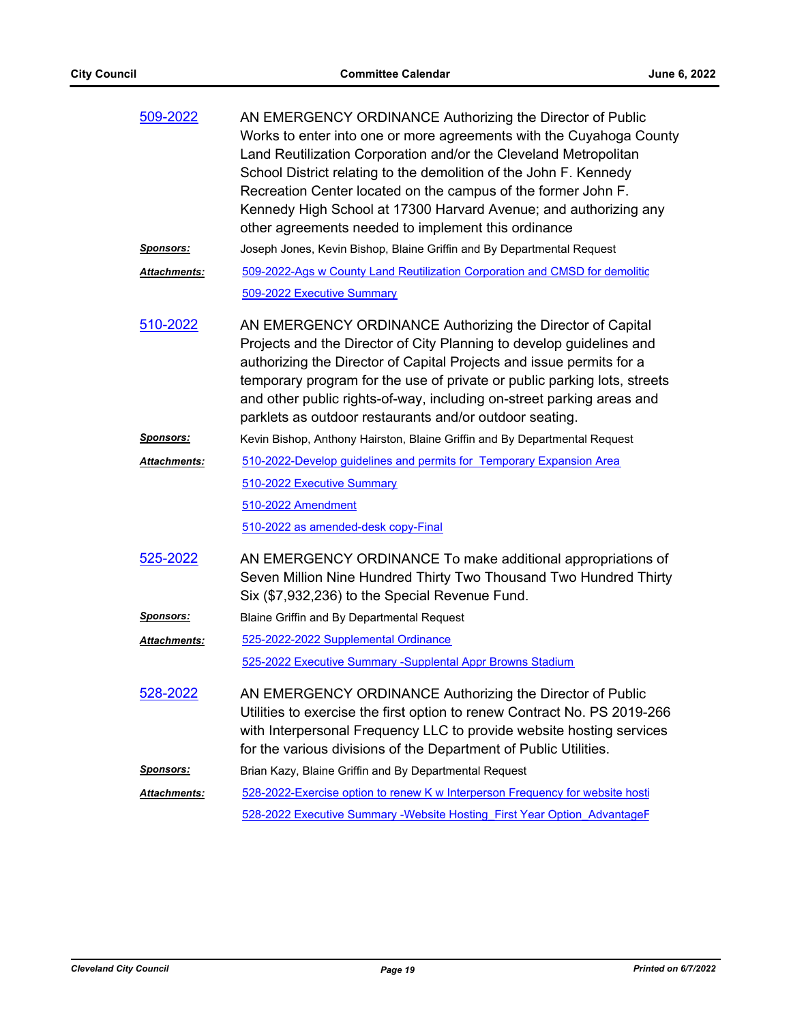| 509-2022             | AN EMERGENCY ORDINANCE Authorizing the Director of Public<br>Works to enter into one or more agreements with the Cuyahoga County<br>Land Reutilization Corporation and/or the Cleveland Metropolitan<br>School District relating to the demolition of the John F. Kennedy<br>Recreation Center located on the campus of the former John F.<br>Kennedy High School at 17300 Harvard Avenue; and authorizing any             |  |
|----------------------|----------------------------------------------------------------------------------------------------------------------------------------------------------------------------------------------------------------------------------------------------------------------------------------------------------------------------------------------------------------------------------------------------------------------------|--|
|                      | other agreements needed to implement this ordinance                                                                                                                                                                                                                                                                                                                                                                        |  |
| <u>Sponsors:</u>     | Joseph Jones, Kevin Bishop, Blaine Griffin and By Departmental Request                                                                                                                                                                                                                                                                                                                                                     |  |
| Attachments:         | 509-2022-Ags w County Land Reutilization Corporation and CMSD for demolitic<br>509-2022 Executive Summary                                                                                                                                                                                                                                                                                                                  |  |
| 510-2022             | AN EMERGENCY ORDINANCE Authorizing the Director of Capital<br>Projects and the Director of City Planning to develop guidelines and<br>authorizing the Director of Capital Projects and issue permits for a<br>temporary program for the use of private or public parking lots, streets<br>and other public rights-of-way, including on-street parking areas and<br>parklets as outdoor restaurants and/or outdoor seating. |  |
| Sponsors:            | Kevin Bishop, Anthony Hairston, Blaine Griffin and By Departmental Request                                                                                                                                                                                                                                                                                                                                                 |  |
| Attachments:         | 510-2022-Develop guidelines and permits for Temporary Expansion Area                                                                                                                                                                                                                                                                                                                                                       |  |
|                      | 510-2022 Executive Summary                                                                                                                                                                                                                                                                                                                                                                                                 |  |
|                      | 510-2022 Amendment                                                                                                                                                                                                                                                                                                                                                                                                         |  |
|                      | 510-2022 as amended-desk copy-Final                                                                                                                                                                                                                                                                                                                                                                                        |  |
| 525-2022             | AN EMERGENCY ORDINANCE To make additional appropriations of<br>Seven Million Nine Hundred Thirty Two Thousand Two Hundred Thirty<br>Six (\$7,932,236) to the Special Revenue Fund.                                                                                                                                                                                                                                         |  |
| <u>Sponsors:</u>     | Blaine Griffin and By Departmental Request                                                                                                                                                                                                                                                                                                                                                                                 |  |
| Attachments:         | 525-2022-2022 Supplemental Ordinance                                                                                                                                                                                                                                                                                                                                                                                       |  |
|                      | 525-2022 Executive Summary - Supplental Appr Browns Stadium                                                                                                                                                                                                                                                                                                                                                                |  |
| 528-2022             | AN EMERGENCY ORDINANCE Authorizing the Director of Public<br>Utilities to exercise the first option to renew Contract No. PS 2019-266<br>with Interpersonal Frequency LLC to provide website hosting services<br>for the various divisions of the Department of Public Utilities.                                                                                                                                          |  |
| <u>Sponsors:</u>     | Brian Kazy, Blaine Griffin and By Departmental Request                                                                                                                                                                                                                                                                                                                                                                     |  |
| <u> Attachments:</u> | 528-2022-Exercise option to renew K w Interperson Frequency for website hosti                                                                                                                                                                                                                                                                                                                                              |  |
|                      | 528-2022 Executive Summary -Website Hosting First Year Option AdvantageF                                                                                                                                                                                                                                                                                                                                                   |  |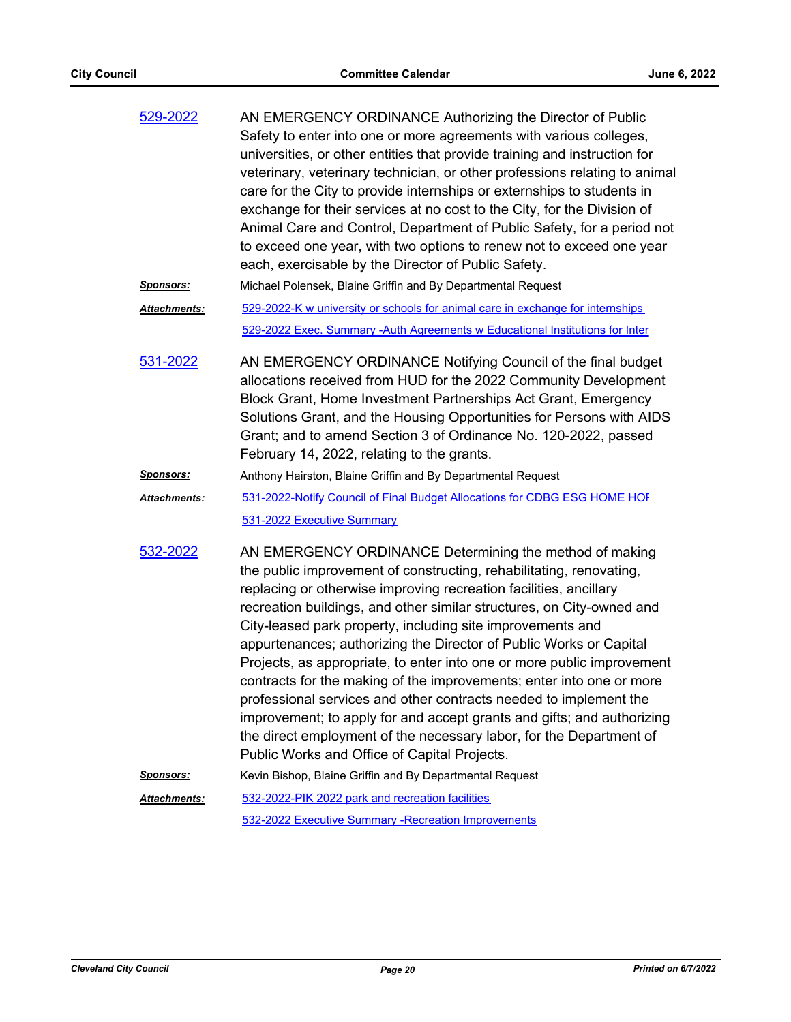| 529-2022 | AN EMERGENCY ORDINANCE Authorizing the Director of Public                  |
|----------|----------------------------------------------------------------------------|
|          | Safety to enter into one or more agreements with various colleges,         |
|          | universities, or other entities that provide training and instruction for  |
|          | veterinary, veterinary technician, or other professions relating to animal |
|          | care for the City to provide internships or externships to students in     |
|          | exchange for their services at no cost to the City, for the Division of    |
|          | Animal Care and Control, Department of Public Safety, for a period not     |
|          | to exceed one year, with two options to renew not to exceed one year       |
|          | each, exercisable by the Director of Public Safety.                        |
|          |                                                                            |

*Sponsors:* Michael Polensek, Blaine Griffin and By Departmental Request

[529-2022-K w university or schools for animal care in exchange for internships](http://cityofcleveland.legistar.com/gateway.aspx?M=F&ID=15448997-8483-4154-98c9-6f4866c6a324.doc) [529-2022 Exec. Summary -Auth Agreements w Educational Institutions for Inter](http://cityofcleveland.legistar.com/gateway.aspx?M=F&ID=6607a05d-20c0-400e-abdc-a95c9e33cb47.pdf) *Attachments:*

AN EMERGENCY ORDINANCE Notifying Council of the final budget allocations received from HUD for the 2022 Community Development Block Grant, Home Investment Partnerships Act Grant, Emergency Solutions Grant, and the Housing Opportunities for Persons with AIDS Grant; and to amend Section 3 of Ordinance No. 120-2022, passed February 14, 2022, relating to the grants. [531-2022](http://cityofcleveland.legistar.com/gateway.aspx?m=l&id=/matter.aspx?key=30422)

#### *Sponsors:* Anthony Hairston, Blaine Griffin and By Departmental Request

- 531-2022-Notify Council of Final Budget Allocations for CDBG ESG HOME HOF [531-2022 Executive Summary](http://cityofcleveland.legistar.com/gateway.aspx?M=F&ID=2894ef50-fab8-4117-8ad9-6c017f65b995.pdf) *Attachments:*
- AN EMERGENCY ORDINANCE Determining the method of making the public improvement of constructing, rehabilitating, renovating, replacing or otherwise improving recreation facilities, ancillary recreation buildings, and other similar structures, on City-owned and City-leased park property, including site improvements and appurtenances; authorizing the Director of Public Works or Capital Projects, as appropriate, to enter into one or more public improvement contracts for the making of the improvements; enter into one or more professional services and other contracts needed to implement the improvement; to apply for and accept grants and gifts; and authorizing the direct employment of the necessary labor, for the Department of Public Works and Office of Capital Projects. [532-2022](http://cityofcleveland.legistar.com/gateway.aspx?m=l&id=/matter.aspx?key=30423)

#### *Sponsors:* Kevin Bishop, Blaine Griffin and By Departmental Request [532-2022-PIK 2022 park and recreation facilities](http://cityofcleveland.legistar.com/gateway.aspx?M=F&ID=1507ea93-5c2d-4437-9347-a103f97def3f.doc) [532-2022 Executive Summary -Recreation Improvements](http://cityofcleveland.legistar.com/gateway.aspx?M=F&ID=239db058-8588-4e9e-95e8-36d40dc7bfd0.pdf) *Attachments:*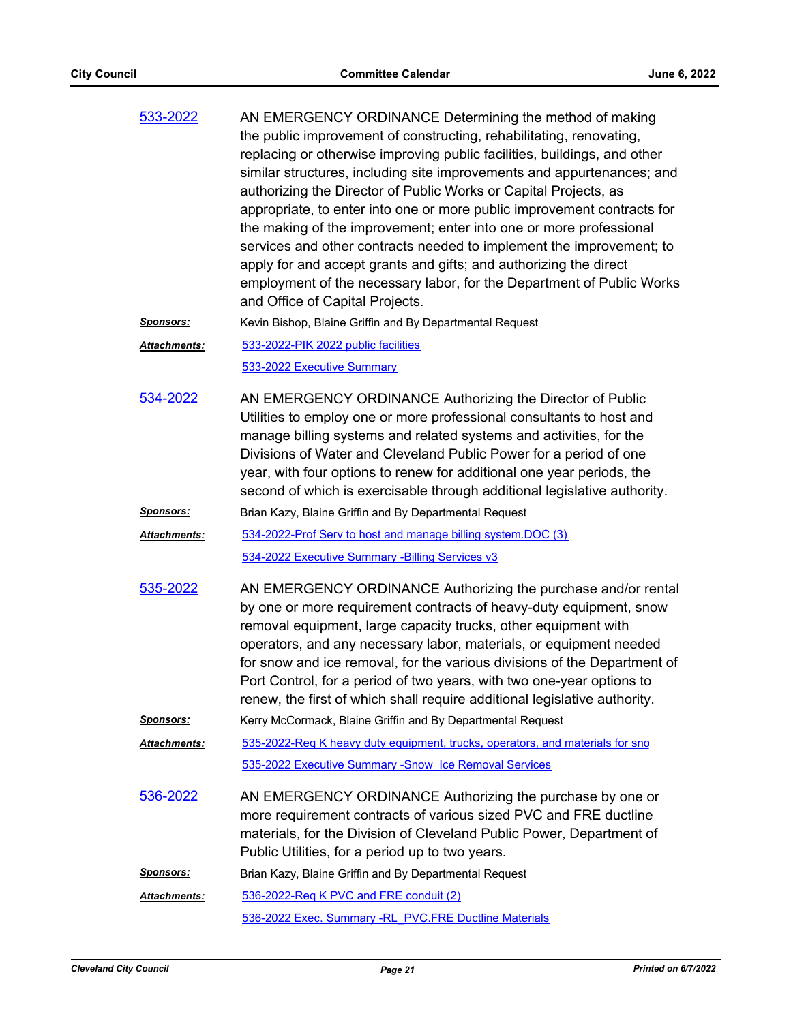| 533-2022         | AN EMERGENCY ORDINANCE Determining the method of making<br>the public improvement of constructing, rehabilitating, renovating,<br>replacing or otherwise improving public facilities, buildings, and other<br>similar structures, including site improvements and appurtenances; and<br>authorizing the Director of Public Works or Capital Projects, as<br>appropriate, to enter into one or more public improvement contracts for<br>the making of the improvement; enter into one or more professional<br>services and other contracts needed to implement the improvement; to<br>apply for and accept grants and gifts; and authorizing the direct<br>employment of the necessary labor, for the Department of Public Works<br>and Office of Capital Projects. |
|------------------|--------------------------------------------------------------------------------------------------------------------------------------------------------------------------------------------------------------------------------------------------------------------------------------------------------------------------------------------------------------------------------------------------------------------------------------------------------------------------------------------------------------------------------------------------------------------------------------------------------------------------------------------------------------------------------------------------------------------------------------------------------------------|
| <b>Sponsors:</b> | Kevin Bishop, Blaine Griffin and By Departmental Request                                                                                                                                                                                                                                                                                                                                                                                                                                                                                                                                                                                                                                                                                                           |
| Attachments:     | 533-2022-PIK 2022 public facilities<br>533-2022 Executive Summary                                                                                                                                                                                                                                                                                                                                                                                                                                                                                                                                                                                                                                                                                                  |
| 534-2022         | AN EMERGENCY ORDINANCE Authorizing the Director of Public<br>Utilities to employ one or more professional consultants to host and<br>manage billing systems and related systems and activities, for the<br>Divisions of Water and Cleveland Public Power for a period of one                                                                                                                                                                                                                                                                                                                                                                                                                                                                                       |

Sponsors: Brian Kazy, Blaine Griffin and By Departmental Request

- [534-2022-Prof Serv to host and manage billing system.DOC \(3\)](http://cityofcleveland.legistar.com/gateway.aspx?M=F&ID=7405af1a-61f9-4c3e-aa6e-e89cfe35d6ea.doc) [534-2022 Executive Summary -Billing Services v3](http://cityofcleveland.legistar.com/gateway.aspx?M=F&ID=d968360d-9d07-4d18-bc59-fcc55e315268.pdf) *Attachments:*
- AN EMERGENCY ORDINANCE Authorizing the purchase and/or rental by one or more requirement contracts of heavy-duty equipment, snow removal equipment, large capacity trucks, other equipment with operators, and any necessary labor, materials, or equipment needed for snow and ice removal, for the various divisions of the Department of Port Control, for a period of two years, with two one-year options to renew, the first of which shall require additional legislative authority. [535-2022](http://cityofcleveland.legistar.com/gateway.aspx?m=l&id=/matter.aspx?key=30426)

year, with four options to renew for additional one year periods, the second of which is exercisable through additional legislative authority.

Sponsors: Kerry McCormack, Blaine Griffin and By Departmental Request

[535-2022-Req K heavy duty equipment, trucks, operators, and materials for sno](http://cityofcleveland.legistar.com/gateway.aspx?M=F&ID=d40ca2ec-6223-4661-9376-ffbbdb7cadfb.doc) [535-2022 Executive Summary -Snow Ice Removal Services](http://cityofcleveland.legistar.com/gateway.aspx?M=F&ID=76f73a43-542d-4459-874a-3844973b0ea4.pdf) *Attachments:*

AN EMERGENCY ORDINANCE Authorizing the purchase by one or more requirement contracts of various sized PVC and FRE ductline materials, for the Division of Cleveland Public Power, Department of Public Utilities, for a period up to two years. [536-2022](http://cityofcleveland.legistar.com/gateway.aspx?m=l&id=/matter.aspx?key=30427)

*Sponsors:* Brian Kazy, Blaine Griffin and By Departmental Request

[536-2022-Req K PVC and FRE conduit \(2\)](http://cityofcleveland.legistar.com/gateway.aspx?M=F&ID=48b0c774-ad78-4a4e-b5cd-04a1ca371192.doc) [536-2022 Exec. Summary -RL\\_PVC.FRE Ductline Materials](http://cityofcleveland.legistar.com/gateway.aspx?M=F&ID=ed9705c5-0568-40b7-9dea-13f4d6d0f4f8.pdf) *Attachments:*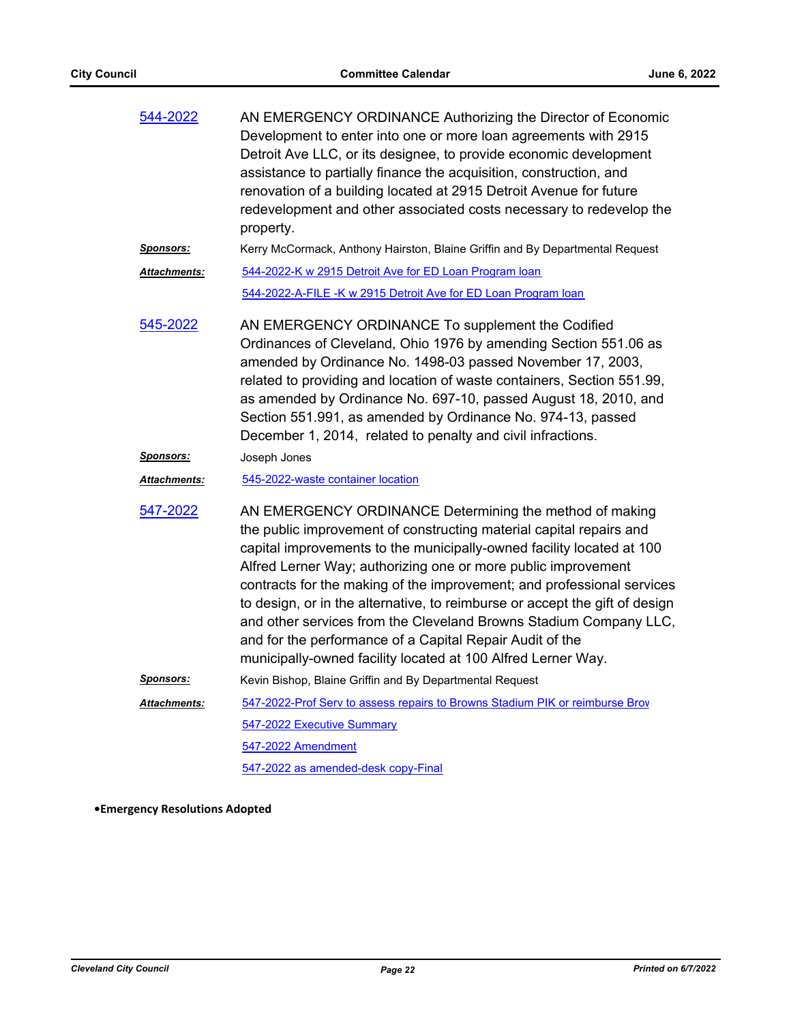| 544-2022             | AN EMERGENCY ORDINANCE Authorizing the Director of Economic<br>Development to enter into one or more loan agreements with 2915<br>Detroit Ave LLC, or its designee, to provide economic development<br>assistance to partially finance the acquisition, construction, and<br>renovation of a building located at 2915 Detroit Avenue for future<br>redevelopment and other associated costs necessary to redevelop the<br>property.                                                                                                                                                                                                |
|----------------------|------------------------------------------------------------------------------------------------------------------------------------------------------------------------------------------------------------------------------------------------------------------------------------------------------------------------------------------------------------------------------------------------------------------------------------------------------------------------------------------------------------------------------------------------------------------------------------------------------------------------------------|
| <u>Sponsors:</u>     | Kerry McCormack, Anthony Hairston, Blaine Griffin and By Departmental Request                                                                                                                                                                                                                                                                                                                                                                                                                                                                                                                                                      |
| <b>Attachments:</b>  | 544-2022-K w 2915 Detroit Ave for ED Loan Program loan                                                                                                                                                                                                                                                                                                                                                                                                                                                                                                                                                                             |
|                      | 544-2022-A-FILE -K w 2915 Detroit Ave for ED Loan Program loan                                                                                                                                                                                                                                                                                                                                                                                                                                                                                                                                                                     |
| 545-2022             | AN EMERGENCY ORDINANCE To supplement the Codified<br>Ordinances of Cleveland, Ohio 1976 by amending Section 551.06 as<br>amended by Ordinance No. 1498-03 passed November 17, 2003,<br>related to providing and location of waste containers, Section 551.99,<br>as amended by Ordinance No. 697-10, passed August 18, 2010, and<br>Section 551.991, as amended by Ordinance No. 974-13, passed<br>December 1, 2014, related to penalty and civil infractions.                                                                                                                                                                     |
| <u>Sponsors:</u>     | Joseph Jones                                                                                                                                                                                                                                                                                                                                                                                                                                                                                                                                                                                                                       |
| <u> Attachments:</u> | 545-2022-waste container location                                                                                                                                                                                                                                                                                                                                                                                                                                                                                                                                                                                                  |
| 547-2022             | AN EMERGENCY ORDINANCE Determining the method of making<br>the public improvement of constructing material capital repairs and<br>capital improvements to the municipally-owned facility located at 100<br>Alfred Lerner Way; authorizing one or more public improvement<br>contracts for the making of the improvement; and professional services<br>to design, or in the alternative, to reimburse or accept the gift of design<br>and other services from the Cleveland Browns Stadium Company LLC,<br>and for the performance of a Capital Repair Audit of the<br>municipally-owned facility located at 100 Alfred Lerner Way. |
| <u>Sponsors:</u>     | Kevin Bishop, Blaine Griffin and By Departmental Request                                                                                                                                                                                                                                                                                                                                                                                                                                                                                                                                                                           |
| <b>Attachments:</b>  | 547-2022-Prof Serv to assess repairs to Browns Stadium PIK or reimburse Brov                                                                                                                                                                                                                                                                                                                                                                                                                                                                                                                                                       |
|                      | <u>547-2022 Executive Summary</u>                                                                                                                                                                                                                                                                                                                                                                                                                                                                                                                                                                                                  |
|                      | 547-2022 Amendment                                                                                                                                                                                                                                                                                                                                                                                                                                                                                                                                                                                                                 |
|                      | 547-2022 as amended-desk copy-Final                                                                                                                                                                                                                                                                                                                                                                                                                                                                                                                                                                                                |

**•Emergency Resolutions Adopted**